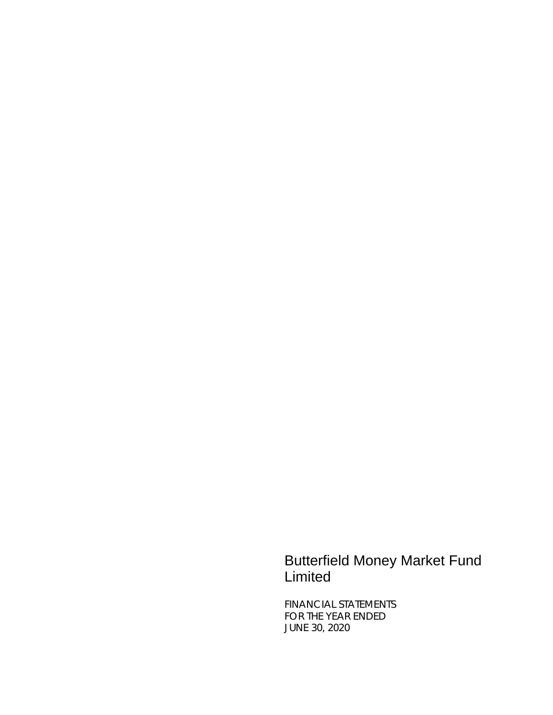# Butterfield Money Market Fund Limited

FINANCIAL STATEMENTS FOR THE YEAR ENDED JUNE 30, 2020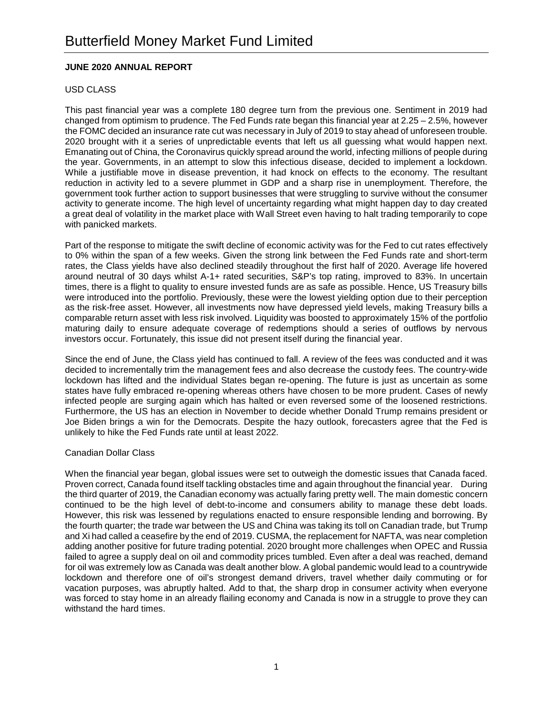# **JUNE 2020 ANNUAL REPORT**

# USD CLASS

This past financial year was a complete 180 degree turn from the previous one. Sentiment in 2019 had changed from optimism to prudence. The Fed Funds rate began this financial year at 2.25 – 2.5%, however the FOMC decided an insurance rate cut was necessary in July of 2019 to stay ahead of unforeseen trouble. 2020 brought with it a series of unpredictable events that left us all guessing what would happen next. Emanating out of China, the Coronavirus quickly spread around the world, infecting millions of people during the year. Governments, in an attempt to slow this infectious disease, decided to implement a lockdown. While a justifiable move in disease prevention, it had knock on effects to the economy. The resultant reduction in activity led to a severe plummet in GDP and a sharp rise in unemployment. Therefore, the government took further action to support businesses that were struggling to survive without the consumer activity to generate income. The high level of uncertainty regarding what might happen day to day created a great deal of volatility in the market place with Wall Street even having to halt trading temporarily to cope with panicked markets.

Part of the response to mitigate the swift decline of economic activity was for the Fed to cut rates effectively to 0% within the span of a few weeks. Given the strong link between the Fed Funds rate and short-term rates, the Class yields have also declined steadily throughout the first half of 2020. Average life hovered around neutral of 30 days whilst A-1+ rated securities, S&P's top rating, improved to 83%. In uncertain times, there is a flight to quality to ensure invested funds are as safe as possible. Hence, US Treasury bills were introduced into the portfolio. Previously, these were the lowest yielding option due to their perception as the risk-free asset. However, all investments now have depressed yield levels, making Treasury bills a comparable return asset with less risk involved. Liquidity was boosted to approximately 15% of the portfolio maturing daily to ensure adequate coverage of redemptions should a series of outflows by nervous investors occur. Fortunately, this issue did not present itself during the financial year.

Since the end of June, the Class yield has continued to fall. A review of the fees was conducted and it was decided to incrementally trim the management fees and also decrease the custody fees. The country-wide lockdown has lifted and the individual States began re-opening. The future is just as uncertain as some states have fully embraced re-opening whereas others have chosen to be more prudent. Cases of newly infected people are surging again which has halted or even reversed some of the loosened restrictions. Furthermore, the US has an election in November to decide whether Donald Trump remains president or Joe Biden brings a win for the Democrats. Despite the hazy outlook, forecasters agree that the Fed is unlikely to hike the Fed Funds rate until at least 2022.

# Canadian Dollar Class

When the financial year began, global issues were set to outweigh the domestic issues that Canada faced. Proven correct, Canada found itself tackling obstacles time and again throughout the financial year. During the third quarter of 2019, the Canadian economy was actually faring pretty well. The main domestic concern continued to be the high level of debt-to-income and consumers ability to manage these debt loads. However, this risk was lessened by regulations enacted to ensure responsible lending and borrowing. By the fourth quarter; the trade war between the US and China was taking its toll on Canadian trade, but Trump and Xi had called a ceasefire by the end of 2019. CUSMA, the replacement for NAFTA, was near completion adding another positive for future trading potential. 2020 brought more challenges when OPEC and Russia failed to agree a supply deal on oil and commodity prices tumbled. Even after a deal was reached, demand for oil was extremely low as Canada was dealt another blow. A global pandemic would lead to a countrywide lockdown and therefore one of oil's strongest demand drivers, travel whether daily commuting or for vacation purposes, was abruptly halted. Add to that, the sharp drop in consumer activity when everyone was forced to stay home in an already flailing economy and Canada is now in a struggle to prove they can withstand the hard times.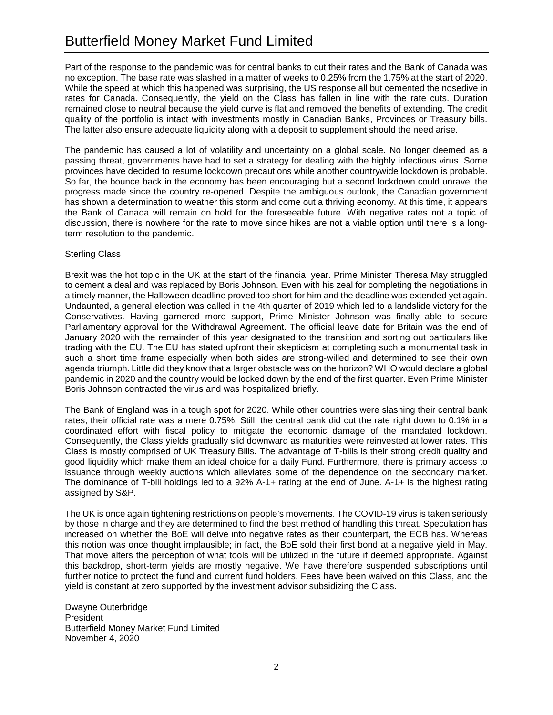Part of the response to the pandemic was for central banks to cut their rates and the Bank of Canada was no exception. The base rate was slashed in a matter of weeks to 0.25% from the 1.75% at the start of 2020. While the speed at which this happened was surprising, the US response all but cemented the nosedive in rates for Canada. Consequently, the yield on the Class has fallen in line with the rate cuts. Duration remained close to neutral because the yield curve is flat and removed the benefits of extending. The credit quality of the portfolio is intact with investments mostly in Canadian Banks, Provinces or Treasury bills. The latter also ensure adequate liquidity along with a deposit to supplement should the need arise.

The pandemic has caused a lot of volatility and uncertainty on a global scale. No longer deemed as a passing threat, governments have had to set a strategy for dealing with the highly infectious virus. Some provinces have decided to resume lockdown precautions while another countrywide lockdown is probable. So far, the bounce back in the economy has been encouraging but a second lockdown could unravel the progress made since the country re-opened. Despite the ambiguous outlook, the Canadian government has shown a determination to weather this storm and come out a thriving economy. At this time, it appears the Bank of Canada will remain on hold for the foreseeable future. With negative rates not a topic of discussion, there is nowhere for the rate to move since hikes are not a viable option until there is a longterm resolution to the pandemic.

# Sterling Class

Brexit was the hot topic in the UK at the start of the financial year. Prime Minister Theresa May struggled to cement a deal and was replaced by Boris Johnson. Even with his zeal for completing the negotiations in a timely manner, the Halloween deadline proved too short for him and the deadline was extended yet again. Undaunted, a general election was called in the 4th quarter of 2019 which led to a landslide victory for the Conservatives. Having garnered more support, Prime Minister Johnson was finally able to secure Parliamentary approval for the Withdrawal Agreement. The official leave date for Britain was the end of January 2020 with the remainder of this year designated to the transition and sorting out particulars like trading with the EU. The EU has stated upfront their skepticism at completing such a monumental task in such a short time frame especially when both sides are strong-willed and determined to see their own agenda triumph. Little did they know that a larger obstacle was on the horizon? WHO would declare a global pandemic in 2020 and the country would be locked down by the end of the first quarter. Even Prime Minister Boris Johnson contracted the virus and was hospitalized briefly.

The Bank of England was in a tough spot for 2020. While other countries were slashing their central bank rates, their official rate was a mere 0.75%. Still, the central bank did cut the rate right down to 0.1% in a coordinated effort with fiscal policy to mitigate the economic damage of the mandated lockdown. Consequently, the Class yields gradually slid downward as maturities were reinvested at lower rates. This Class is mostly comprised of UK Treasury Bills. The advantage of T-bills is their strong credit quality and good liquidity which make them an ideal choice for a daily Fund. Furthermore, there is primary access to issuance through weekly auctions which alleviates some of the dependence on the secondary market. The dominance of T-bill holdings led to a 92% A-1+ rating at the end of June. A-1+ is the highest rating assigned by S&P.

The UK is once again tightening restrictions on people's movements. The COVID-19 virus is taken seriously by those in charge and they are determined to find the best method of handling this threat. Speculation has increased on whether the BoE will delve into negative rates as their counterpart, the ECB has. Whereas this notion was once thought implausible; in fact, the BoE sold their first bond at a negative yield in May. That move alters the perception of what tools will be utilized in the future if deemed appropriate. Against this backdrop, short-term yields are mostly negative. We have therefore suspended subscriptions until further notice to protect the fund and current fund holders. Fees have been waived on this Class, and the yield is constant at zero supported by the investment advisor subsidizing the Class.

Dwayne Outerbridge President Butterfield Money Market Fund Limited November 4, 2020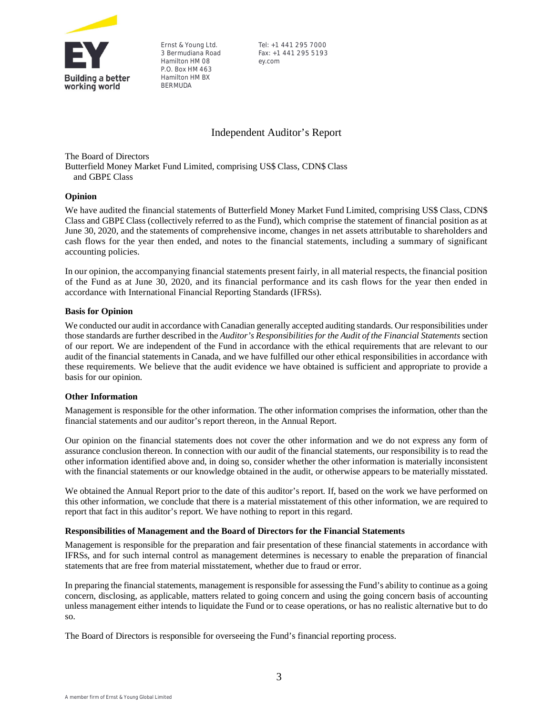

Ernst & Young Ltd. 3 Bermudiana Road Hamilton HM 08 P.O. Box HM 463 Hamilton HM BX BERMUDA

Tel: +1 441 295 7000 Fax: +1 441 295 5193 ey.com

# Independent Auditor's Report

The Board of Directors Butterfield Money Market Fund Limited, comprising US\$ Class, CDN\$ Class and GBP£ Class

#### **Opinion**

We have audited the financial statements of Butterfield Money Market Fund Limited, comprising US\$ Class, CDN\$ Class and GBP£ Class (collectively referred to as the Fund), which comprise the statement of financial position as at June 30, 2020, and the statements of comprehensive income, changes in net assets attributable to shareholders and cash flows for the year then ended, and notes to the financial statements, including a summary of significant accounting policies.

In our opinion, the accompanying financial statements present fairly, in all material respects, the financial position of the Fund as at June 30, 2020, and its financial performance and its cash flows for the year then ended in accordance with International Financial Reporting Standards (IFRSs).

#### **Basis for Opinion**

We conducted our audit in accordance with Canadian generally accepted auditing standards. Our responsibilities under those standards are further described in the *Auditor's Responsibilities for the Audit of the Financial Statements* section of our report. We are independent of the Fund in accordance with the ethical requirements that are relevant to our audit of the financial statements in Canada, and we have fulfilled our other ethical responsibilities in accordance with these requirements. We believe that the audit evidence we have obtained is sufficient and appropriate to provide a basis for our opinion.

#### **Other Information**

Management is responsible for the other information. The other information comprises the information, other than the financial statements and our auditor's report thereon, in the Annual Report.

Our opinion on the financial statements does not cover the other information and we do not express any form of assurance conclusion thereon. In connection with our audit of the financial statements, our responsibility is to read the other information identified above and, in doing so, consider whether the other information is materially inconsistent with the financial statements or our knowledge obtained in the audit, or otherwise appears to be materially misstated.

We obtained the Annual Report prior to the date of this auditor's report. If, based on the work we have performed on this other information, we conclude that there is a material misstatement of this other information, we are required to report that fact in this auditor's report. We have nothing to report in this regard.

#### **Responsibilities of Management and the Board of Directors for the Financial Statements**

Management is responsible for the preparation and fair presentation of these financial statements in accordance with IFRSs, and for such internal control as management determines is necessary to enable the preparation of financial statements that are free from material misstatement, whether due to fraud or error.

In preparing the financial statements, management is responsible for assessing the Fund's ability to continue as a going concern, disclosing, as applicable, matters related to going concern and using the going concern basis of accounting unless management either intends to liquidate the Fund or to cease operations, or has no realistic alternative but to do so.

The Board of Directors is responsible for overseeing the Fund's financial reporting process.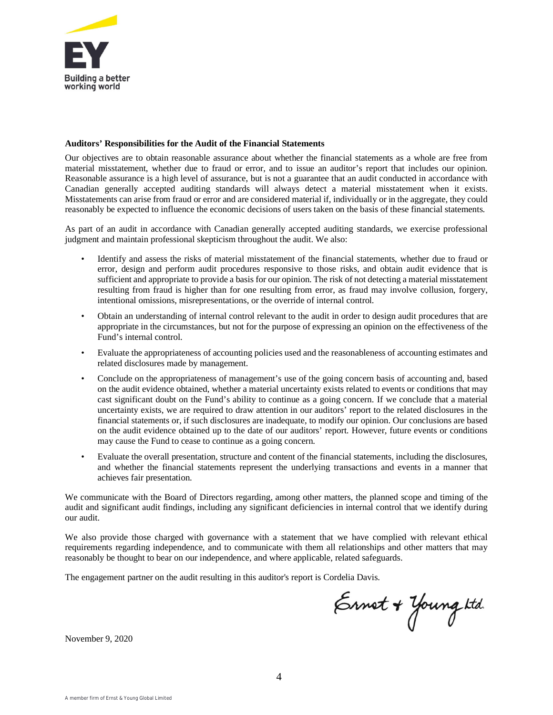

#### **Auditors' Responsibilities for the Audit of the Financial Statements**

Our objectives are to obtain reasonable assurance about whether the financial statements as a whole are free from material misstatement, whether due to fraud or error, and to issue an auditor's report that includes our opinion. Reasonable assurance is a high level of assurance, but is not a guarantee that an audit conducted in accordance with Canadian generally accepted auditing standards will always detect a material misstatement when it exists. Misstatements can arise from fraud or error and are considered material if, individually or in the aggregate, they could reasonably be expected to influence the economic decisions of users taken on the basis of these financial statements.

As part of an audit in accordance with Canadian generally accepted auditing standards, we exercise professional judgment and maintain professional skepticism throughout the audit. We also:

- Identify and assess the risks of material misstatement of the financial statements, whether due to fraud or error, design and perform audit procedures responsive to those risks, and obtain audit evidence that is sufficient and appropriate to provide a basis for our opinion. The risk of not detecting a material misstatement resulting from fraud is higher than for one resulting from error, as fraud may involve collusion, forgery, intentional omissions, misrepresentations, or the override of internal control.
- Obtain an understanding of internal control relevant to the audit in order to design audit procedures that are appropriate in the circumstances, but not for the purpose of expressing an opinion on the effectiveness of the Fund's internal control.
- Evaluate the appropriateness of accounting policies used and the reasonableness of accounting estimates and related disclosures made by management.
- Conclude on the appropriateness of management's use of the going concern basis of accounting and, based on the audit evidence obtained, whether a material uncertainty exists related to events or conditions that may cast significant doubt on the Fund's ability to continue as a going concern. If we conclude that a material uncertainty exists, we are required to draw attention in our auditors' report to the related disclosures in the financial statements or, if such disclosures are inadequate, to modify our opinion. Our conclusions are based on the audit evidence obtained up to the date of our auditors' report. However, future events or conditions may cause the Fund to cease to continue as a going concern.
- Evaluate the overall presentation, structure and content of the financial statements, including the disclosures, and whether the financial statements represent the underlying transactions and events in a manner that achieves fair presentation.

We communicate with the Board of Directors regarding, among other matters, the planned scope and timing of the audit and significant audit findings, including any significant deficiencies in internal control that we identify during our audit.

We also provide those charged with governance with a statement that we have complied with relevant ethical requirements regarding independence, and to communicate with them all relationships and other matters that may reasonably be thought to bear on our independence, and where applicable, related safeguards.

The engagement partner on the audit resulting in this auditor's report is Cordelia Davis.

Ennet + Young Atd.

November 9, 2020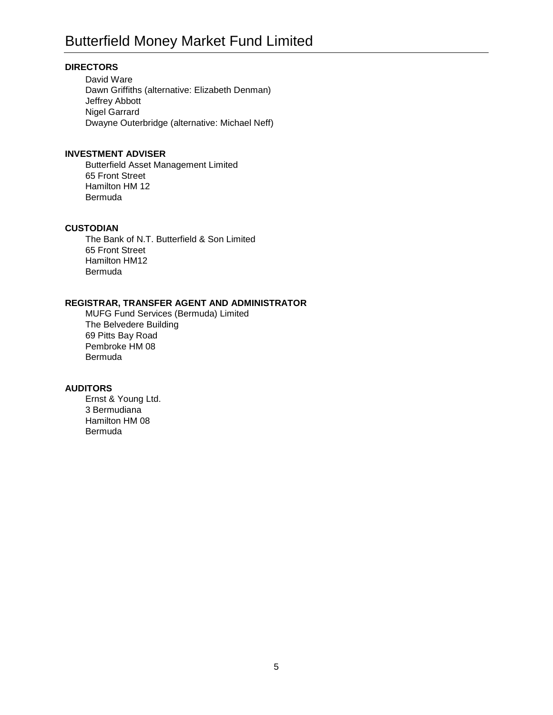# **DIRECTORS**

David Ware Dawn Griffiths (alternative: Elizabeth Denman) Jeffrey Abbott Nigel Garrard Dwayne Outerbridge (alternative: Michael Neff)

# **INVESTMENT ADVISER**

Butterfield Asset Management Limited 65 Front Street Hamilton HM 12 Bermuda

# **CUSTODIAN**

The Bank of N.T. Butterfield & Son Limited 65 Front Street Hamilton HM12 Bermuda

# **REGISTRAR, TRANSFER AGENT AND ADMINISTRATOR**

MUFG Fund Services (Bermuda) Limited The Belvedere Building 69 Pitts Bay Road Pembroke HM 08 Bermuda

# **AUDITORS**

Ernst & Young Ltd. 3 Bermudiana Hamilton HM 08 Bermuda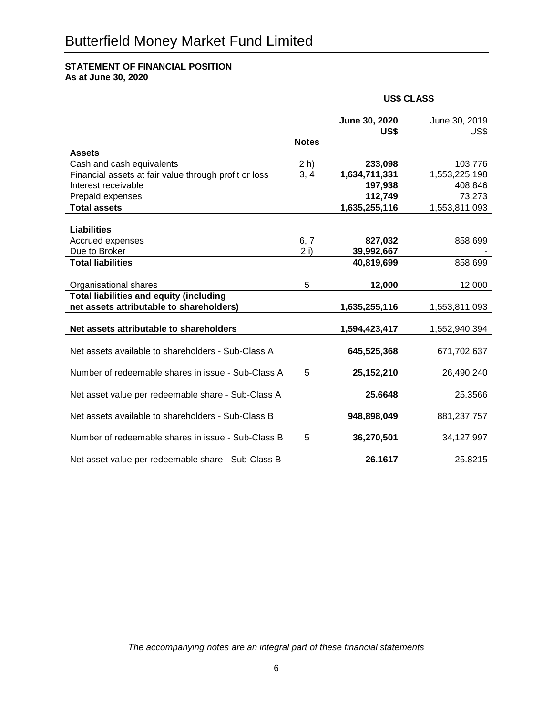# **STATEMENT OF FINANCIAL POSITION**

**As at June 30, 2020**

|                                                       |              | June 30, 2020<br>US\$ | June 30, 2019<br>US\$ |
|-------------------------------------------------------|--------------|-----------------------|-----------------------|
|                                                       | <b>Notes</b> |                       |                       |
| <b>Assets</b>                                         |              |                       |                       |
| Cash and cash equivalents                             | $2h$ )       | 233,098               | 103,776               |
| Financial assets at fair value through profit or loss | 3, 4         | 1,634,711,331         | 1,553,225,198         |
| Interest receivable                                   |              | 197,938               | 408,846               |
| Prepaid expenses                                      |              | 112,749               | 73,273                |
| <b>Total assets</b>                                   |              | 1,635,255,116         | 1,553,811,093         |
|                                                       |              |                       |                       |
| <b>Liabilities</b>                                    |              |                       |                       |
| Accrued expenses                                      | 6, 7         | 827,032               | 858,699               |
| Due to Broker                                         | 2 i)         | 39,992,667            |                       |
| <b>Total liabilities</b>                              |              | 40,819,699            | 858,699               |
|                                                       |              |                       |                       |
| Organisational shares                                 | 5            | 12,000                | 12,000                |
| <b>Total liabilities and equity (including</b>        |              |                       |                       |
| net assets attributable to shareholders)              |              | 1,635,255,116         | 1,553,811,093         |
|                                                       |              |                       |                       |
| Net assets attributable to shareholders               |              | 1,594,423,417         | 1,552,940,394         |
| Net assets available to shareholders - Sub-Class A    |              |                       |                       |
|                                                       |              | 645,525,368           | 671,702,637           |
| Number of redeemable shares in issue - Sub-Class A    | 5            | 25,152,210            | 26,490,240            |
|                                                       |              |                       |                       |
| Net asset value per redeemable share - Sub-Class A    |              | 25.6648               | 25.3566               |
|                                                       |              |                       |                       |
| Net assets available to shareholders - Sub-Class B    |              | 948,898,049           | 881,237,757           |
|                                                       |              |                       |                       |
| Number of redeemable shares in issue - Sub-Class B    | 5            | 36,270,501            | 34,127,997            |
|                                                       |              |                       |                       |
| Net asset value per redeemable share - Sub-Class B    |              | 26.1617               | 25.8215               |

**US\$ CLASS**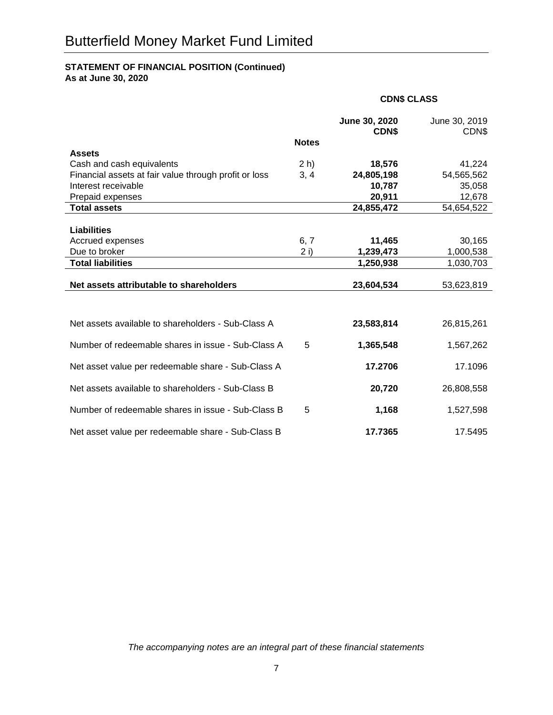# **STATEMENT OF FINANCIAL POSITION (Continued)**

**As at June 30, 2020**

|                                                       |              | June 30, 2020<br><b>CDN\$</b> | June 30, 2019<br>CDN\$ |
|-------------------------------------------------------|--------------|-------------------------------|------------------------|
|                                                       | <b>Notes</b> |                               |                        |
| <b>Assets</b>                                         |              |                               |                        |
| Cash and cash equivalents                             | $2h$ )       | 18,576                        | 41,224                 |
| Financial assets at fair value through profit or loss | 3, 4         | 24,805,198                    | 54,565,562             |
| Interest receivable                                   |              | 10,787                        | 35,058                 |
| Prepaid expenses                                      |              | 20,911                        | 12,678                 |
| <b>Total assets</b>                                   |              | 24,855,472                    | 54,654,522             |
|                                                       |              |                               |                        |
| Liabilities                                           |              |                               |                        |
| Accrued expenses                                      | 6, 7         | 11,465                        | 30,165                 |
| Due to broker                                         | 2 i)         | 1,239,473                     | 1,000,538              |
| <b>Total liabilities</b>                              |              | 1,250,938                     | 1,030,703              |
|                                                       |              |                               |                        |
| Net assets attributable to shareholders               |              | 23,604,534                    | 53,623,819             |
|                                                       |              |                               |                        |
|                                                       |              |                               |                        |
| Net assets available to shareholders - Sub-Class A    |              | 23,583,814                    | 26,815,261             |
|                                                       |              |                               |                        |
| Number of redeemable shares in issue - Sub-Class A    | 5            | 1,365,548                     | 1,567,262              |
|                                                       |              |                               |                        |
| Net asset value per redeemable share - Sub-Class A    |              | 17.2706                       | 17.1096                |
| Net assets available to shareholders - Sub-Class B    |              | 20,720                        | 26,808,558             |
|                                                       |              |                               |                        |
| Number of redeemable shares in issue - Sub-Class B    | 5            | 1,168                         | 1,527,598              |
| Net asset value per redeemable share - Sub-Class B    |              | 17.7365                       | 17.5495                |

**CDN\$ CLASS**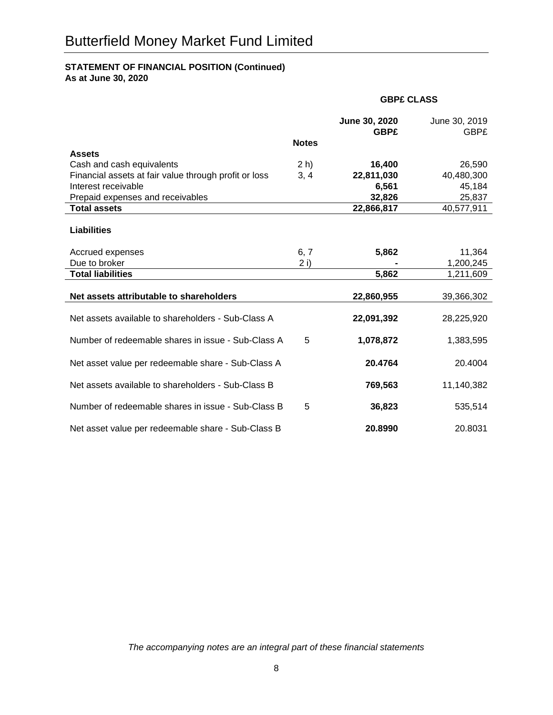# **STATEMENT OF FINANCIAL POSITION (Continued)**

**As at June 30, 2020**

|                                                       |              | June 30, 2020<br><b>GBP£</b> | June 30, 2019<br><b>GBP£</b> |
|-------------------------------------------------------|--------------|------------------------------|------------------------------|
|                                                       | <b>Notes</b> |                              |                              |
| <b>Assets</b>                                         |              |                              |                              |
| Cash and cash equivalents                             | $2 h$ )      | 16,400                       | 26,590                       |
| Financial assets at fair value through profit or loss | 3, 4         | 22,811,030                   | 40,480,300                   |
| Interest receivable                                   |              | 6,561                        | 45,184                       |
| Prepaid expenses and receivables                      |              | 32,826                       | 25,837                       |
| <b>Total assets</b>                                   |              | 22,866,817                   | 40,577,911                   |
| <b>Liabilities</b>                                    |              |                              |                              |
| Accrued expenses                                      | 6, 7         | 5,862                        | 11,364                       |
| Due to broker                                         | 2 i)         |                              | 1,200,245                    |
| <b>Total liabilities</b>                              |              | 5,862                        | 1,211,609                    |
| Net assets attributable to shareholders               |              | 22,860,955                   | 39,366,302                   |
| Net assets available to shareholders - Sub-Class A    |              | 22,091,392                   | 28,225,920                   |
| Number of redeemable shares in issue - Sub-Class A    | 5            | 1,078,872                    | 1,383,595                    |
| Net asset value per redeemable share - Sub-Class A    |              | 20.4764                      | 20.4004                      |
| Net assets available to shareholders - Sub-Class B    |              | 769,563                      | 11,140,382                   |
| Number of redeemable shares in issue - Sub-Class B    | 5            | 36,823                       | 535,514                      |
| Net asset value per redeemable share - Sub-Class B    |              | 20.8990                      | 20.8031                      |

**GBP£ CLASS**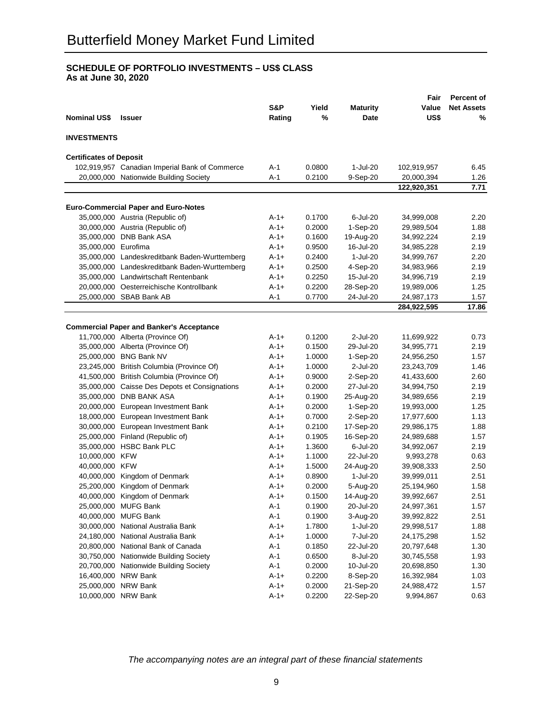#### **SCHEDULE OF PORTFOLIO INVESTMENTS – US\$ CLASS As at June 30, 2020**

|                                |                                                 |               |            |                         | Fair          | <b>Percent of</b>      |
|--------------------------------|-------------------------------------------------|---------------|------------|-------------------------|---------------|------------------------|
| <b>Nominal US\$</b>            | <b>Issuer</b>                                   | S&P<br>Rating | Yield<br>% | <b>Maturity</b><br>Date | Value<br>US\$ | <b>Net Assets</b><br>% |
| <b>INVESTMENTS</b>             |                                                 |               |            |                         |               |                        |
| <b>Certificates of Deposit</b> |                                                 |               |            |                         |               |                        |
|                                | 102,919,957 Canadian Imperial Bank of Commerce  | A-1           | 0.0800     | 1-Jul-20                | 102,919,957   | 6.45                   |
|                                | 20,000,000 Nationwide Building Society          | A-1           | 0.2100     | 9-Sep-20                | 20,000,394    | 1.26                   |
|                                |                                                 |               |            |                         | 122,920,351   | 7.71                   |
|                                | <b>Euro-Commercial Paper and Euro-Notes</b>     |               |            |                         |               |                        |
|                                | 35,000,000 Austria (Republic of)                | $A - 1 +$     | 0.1700     | 6-Jul-20                | 34,999,008    | 2.20                   |
|                                | 30,000,000 Austria (Republic of)                | $A - 1 +$     | 0.2000     | $1-Sep-20$              | 29,989,504    | 1.88                   |
|                                | 35,000,000 DNB Bank ASA                         | $A - 1 +$     | 0.1600     | 19-Aug-20               | 34,992,224    | 2.19                   |
| 35,000,000 Eurofima            |                                                 | $A - 1 +$     | 0.9500     | 16-Jul-20               | 34,985,228    | 2.19                   |
|                                | 35,000,000 Landeskreditbank Baden-Wurttemberg   | $A - 1 +$     | 0.2400     | 1-Jul-20                | 34,999,767    | 2.20                   |
|                                | 35,000,000 Landeskreditbank Baden-Wurttemberg   | $A - 1 +$     | 0.2500     | 4-Sep-20                | 34,983,966    | 2.19                   |
|                                | 35,000,000 Landwirtschaft Rentenbank            | $A-1+$        | 0.2250     | 15-Jul-20               | 34,996,719    | 2.19                   |
|                                | 20,000,000 Oesterreichische Kontrollbank        | $A-1+$        | 0.2200     | 28-Sep-20               | 19,989,006    | 1.25                   |
|                                | 25,000,000 SBAB Bank AB                         | $A-1$         | 0.7700     | 24-Jul-20               | 24,987,173    | 1.57                   |
|                                |                                                 |               |            |                         | 284,922,595   | 17.86                  |
|                                |                                                 |               |            |                         |               |                        |
|                                | <b>Commercial Paper and Banker's Acceptance</b> |               |            |                         |               |                        |
|                                | 11,700,000 Alberta (Province Of)                | $A - 1 +$     | 0.1200     | 2-Jul-20                | 11,699,922    | 0.73                   |
|                                | 35,000,000 Alberta (Province Of)                | $A - 1 +$     | 0.1500     | 29-Jul-20               | 34,995,771    | 2.19                   |
|                                | 25,000,000 BNG Bank NV                          | $A - 1 +$     | 1.0000     | 1-Sep-20                | 24,956,250    | 1.57                   |
|                                | 23,245,000 British Columbia (Province Of)       | $A - 1 +$     | 1.0000     | 2-Jul-20                | 23,243,709    | 1.46                   |
|                                | 41,500,000 British Columbia (Province Of)       | $A - 1 +$     | 0.9000     | 2-Sep-20                | 41,433,600    | 2.60                   |
|                                | 35,000,000 Caisse Des Depots et Consignations   | $A - 1 +$     | 0.2000     | 27-Jul-20               | 34,994,750    | 2.19                   |
|                                | 35,000,000 DNB BANK ASA                         | $A - 1 +$     | 0.1900     | 25-Aug-20               | 34,989,656    | 2.19                   |
|                                | 20,000,000 European Investment Bank             | $A - 1 +$     | 0.2000     | 1-Sep-20                | 19,993,000    | 1.25                   |
|                                | 18,000,000 European Investment Bank             | $A-1+$        | 0.7000     | $2-Sep-20$              | 17,977,600    | 1.13                   |
|                                | 30,000,000 European Investment Bank             | $A-1+$        | 0.2100     | 17-Sep-20               | 29,986,175    | 1.88                   |
|                                | 25,000,000 Finland (Republic of)                | $A - 1 +$     | 0.1905     | 16-Sep-20               | 24,989,688    | 1.57                   |
|                                | 35,000,000 HSBC Bank PLC                        | $A-1+$        | 1.3600     | 6-Jul-20                | 34,992,067    | 2.19                   |
| 10,000,000 KFW                 |                                                 | $A - 1 +$     | 1.1000     | 22-Jul-20               | 9,993,278     | 0.63                   |
| 40,000,000 KFW                 |                                                 | $A - 1 +$     | 1.5000     | 24-Aug-20               | 39,908,333    | 2.50                   |
|                                | 40,000,000 Kingdom of Denmark                   | $A - 1 +$     | 0.8900     | 1-Jul-20                | 39,999,011    | 2.51                   |
|                                | 25,200,000 Kingdom of Denmark                   | $A - 1 +$     | 0.2000     | 5-Aug-20                | 25,194,960    | 1.58                   |
|                                | 40,000,000 Kingdom of Denmark                   | $A-1+$        | 0.1500     | 14-Aug-20               | 39,992,667    | 2.51                   |
|                                | 25,000,000 MUFG Bank                            | $A-1$         | 0.1900     | 20-Jul-20               | 24,997,361    | 1.57                   |
|                                | 40,000,000 MUFG Bank                            | $A-1$         | 0.1900     | 3-Aug-20                | 39,992,822    | 2.51                   |
|                                | 30,000,000 National Australia Bank              | $A - 1 +$     | 1.7800     | 1-Jul-20                | 29,998,517    | 1.88                   |
|                                | 24,180,000 National Australia Bank              |               |            |                         |               |                        |
|                                | 20,800,000 National Bank of Canada              | $A - 1 +$     | 1.0000     | 7-Jul-20                | 24,175,298    | 1.52                   |
|                                | 30,750,000 Nationwide Building Society          | $A-1$         | 0.1850     | 22-Jul-20<br>8-Jul-20   | 20,797,648    | 1.30                   |
|                                |                                                 | A-1           | 0.6500     |                         | 30,745,558    | 1.93                   |
|                                | 20,700,000 Nationwide Building Society          | A-1           | 0.2000     | 10-Jul-20               | 20,698,850    | 1.30                   |
|                                | 16,400,000 NRW Bank                             | $A - 1 +$     | 0.2200     | 8-Sep-20                | 16,392,984    | 1.03                   |
|                                | 25,000,000 NRW Bank                             | $A - 1 +$     | 0.2000     | 21-Sep-20               | 24,988,472    | 1.57                   |
|                                | 10,000,000 NRW Bank                             | $A - 1 +$     | 0.2200     | 22-Sep-20               | 9,994,867     | 0.63                   |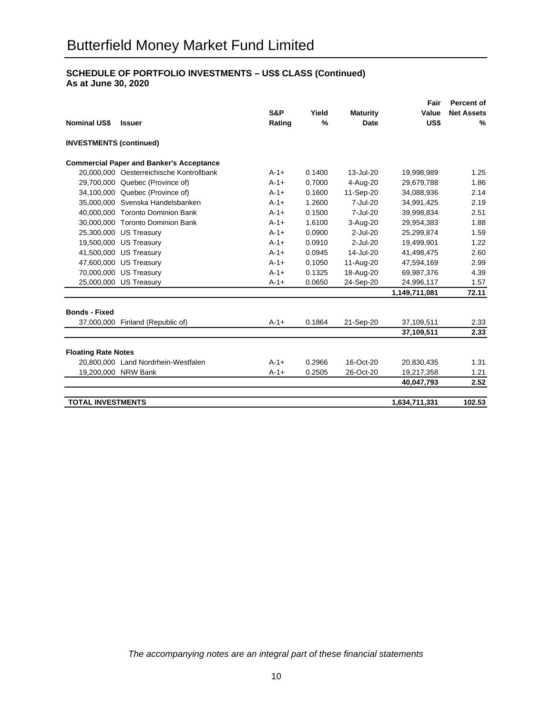#### **SCHEDULE OF PORTFOLIO INVESTMENTS – US\$ CLASS (Continued) As at June 30, 2020**

 **Fair Percent of**  S&P Yield Maturity **Value Net Assets Nominal US\$** Issuer **Nominal US\$** % **Date** US\$ % % **INVESTMENTS (continued) Commercial Paper and Banker's Acceptance** Oesterreichische Kontrollbank A-1+ 0.1400 13-Jul-20 19,998,989 20,000,000 1.25 29,700,000 Quebec (Province of)  $A-1+$  0.7000  $A-Au$ g-20 29,679,788 1.86 34,100,000 Quebec (Province of)  $A-1+$  0.1600 11-Sep-20 34,088,936 2.14 Svenska Handelsbanken A-1+ 1.2600 7-Jul-20 34,991,425 35,000,000 2.19 Toronto Dominion Bank A-1+ 0.1500 7-Jul-20 39,998,834 40,000,000 2.51 30,000,000 Toronto Dominion Bank  $A-1+$  1.6100 3-Aug-20 29,954,383 1.88 US Treasury A-1+ 0.0900 2-Jul-20 25,299,874 25,300,000 1.59 19,500,000 US Treasury 1.22 1.22 A-1+ 0.0910 2-Jul-20 19,499,901 1.22 US Treasury A-1+ 0.0945 14-Jul-20 41,498,475 41,500,000 2.60 US Treasury A-1+ 0.1050 11-Aug-20 47,594,169 47,600,000 2.99 US Treasury A-1+ 0.1325 18-Aug-20 69,987,376 70,000,000 4.39 25,000,000 US Treasury 20 1.57  **72.11 1,149,711,081 Bonds - Fixed** Finland (Republic of) A-1+ 0.1864 21-Sep-20 37,109,511 37,000,000 2.33  **2.33 37,109,511 Floating Rate Notes** Land Nordrhein-Westfalen A-1+ 0.2966 16-Oct-20 20,830,435 20,800,000 1.31 19,200,000 NRW Bank  $A-1+$  0.2505 26-Oct-20 19,217,358 1.21  **2.52 40,047,793 TOTAL INVESTMENTS** 1,634,711,331 102.53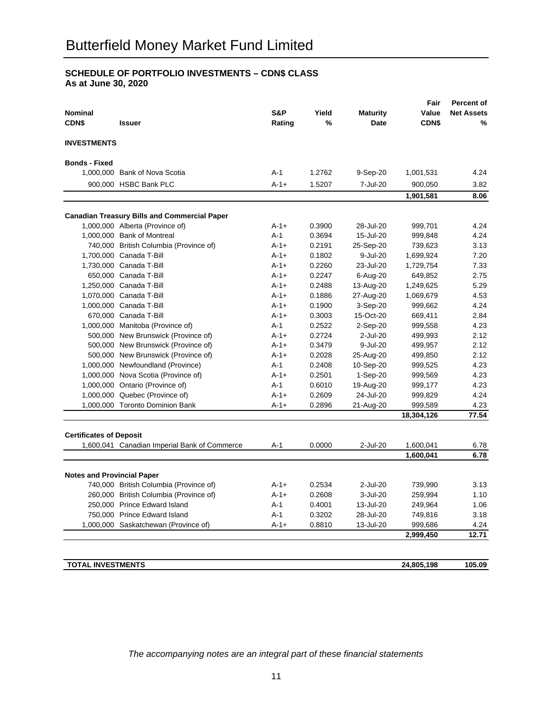# **SCHEDULE OF PORTFOLIO INVESTMENTS – CDN\$ CLASS As at June 30, 2020**

|                                   |                                                     |           |        |                 | Fair        | <b>Percent of</b> |
|-----------------------------------|-----------------------------------------------------|-----------|--------|-----------------|-------------|-------------------|
| <b>Nominal</b>                    |                                                     | S&P       | Yield  | <b>Maturity</b> | Value       | <b>Net Assets</b> |
| <b>CDNS</b>                       | <b>Issuer</b>                                       | Rating    | %      | <b>Date</b>     | <b>CDNS</b> | %                 |
| <b>INVESTMENTS</b>                |                                                     |           |        |                 |             |                   |
| <b>Bonds - Fixed</b>              |                                                     |           |        |                 |             |                   |
|                                   | 1,000,000 Bank of Nova Scotia                       | $A-1$     | 1.2762 | 9-Sep-20        | 1,001,531   | 4.24              |
|                                   | 900,000 HSBC Bank PLC                               | $A - 1 +$ | 1.5207 | 7-Jul-20        | 900,050     | 3.82              |
|                                   |                                                     |           |        |                 | 1,901,581   | 8.06              |
|                                   |                                                     |           |        |                 |             |                   |
|                                   | <b>Canadian Treasury Bills and Commercial Paper</b> |           |        |                 |             |                   |
|                                   | 1,000,000 Alberta (Province of)                     | $A - 1 +$ | 0.3900 | 28-Jul-20       | 999,701     | 4.24              |
|                                   | 1,000,000 Bank of Montreal                          | $A-1$     | 0.3694 | 15-Jul-20       | 999,848     | 4.24              |
|                                   | 740,000 British Columbia (Province of)              | $A - 1 +$ | 0.2191 | 25-Sep-20       | 739,623     | 3.13              |
|                                   | 1,700,000 Canada T-Bill                             | $A - 1 +$ | 0.1802 | 9-Jul-20        | 1,699,924   | 7.20              |
|                                   | 1,730,000 Canada T-Bill                             | $A-1+$    | 0.2260 | 23-Jul-20       | 1,729,754   | 7.33              |
|                                   | 650,000 Canada T-Bill                               | $A - 1 +$ | 0.2247 | 6-Aug-20        | 649,852     | 2.75              |
|                                   | 1,250,000 Canada T-Bill                             | $A-1+$    | 0.2488 | 13-Aug-20       | 1,249,625   | 5.29              |
|                                   | 1,070,000 Canada T-Bill                             | $A - 1 +$ | 0.1886 | 27-Aug-20       | 1,069,679   | 4.53              |
|                                   | 1,000,000 Canada T-Bill                             | $A - 1 +$ | 0.1900 | 3-Sep-20        | 999,662     | 4.24              |
|                                   | 670,000 Canada T-Bill                               | $A - 1 +$ | 0.3003 | 15-Oct-20       | 669,411     | 2.84              |
|                                   | 1,000,000 Manitoba (Province of)                    | $A-1$     | 0.2522 | $2-Sep-20$      | 999,558     | 4.23              |
|                                   | 500,000 New Brunswick (Province of)                 | $A - 1 +$ | 0.2724 | 2-Jul-20        | 499,993     | 2.12              |
|                                   | 500,000 New Brunswick (Province of)                 | $A-1+$    | 0.3479 | 9-Jul-20        | 499,957     | 2.12              |
|                                   | 500,000 New Brunswick (Province of)                 | $A - 1 +$ | 0.2028 | 25-Aug-20       | 499,850     | 2.12              |
|                                   | 1,000,000 Newfoundland (Province)                   | $A-1$     | 0.2408 | 10-Sep-20       | 999,525     | 4.23              |
|                                   | 1,000,000 Nova Scotia (Province of)                 | $A - 1 +$ | 0.2501 | $1-Sep-20$      | 999,569     | 4.23              |
|                                   | 1,000,000 Ontario (Province of)                     | $A-1$     | 0.6010 | 19-Aug-20       | 999,177     | 4.23              |
|                                   | 1,000,000 Quebec (Province of)                      | $A - 1 +$ | 0.2609 | 24-Jul-20       | 999,829     | 4.24              |
|                                   | 1,000,000 Toronto Dominion Bank                     | $A-1+$    | 0.2896 | 21-Aug-20       | 999,589     | 4.23              |
|                                   |                                                     |           |        |                 | 18,304,126  | 77.54             |
| <b>Certificates of Deposit</b>    |                                                     |           |        |                 |             |                   |
|                                   | 1,600,041 Canadian Imperial Bank of Commerce        | A-1       | 0.0000 | 2-Jul-20        | 1,600,041   | 6.78              |
|                                   |                                                     |           |        |                 | 1,600,041   | 6.78              |
|                                   |                                                     |           |        |                 |             |                   |
| <b>Notes and Provincial Paper</b> |                                                     |           |        |                 |             |                   |
|                                   | 740,000 British Columbia (Province of)              | $A - 1 +$ | 0.2534 | 2-Jul-20        | 739,990     | 3.13              |
|                                   | 260,000 British Columbia (Province of)              | $A - 1 +$ | 0.2608 | 3-Jul-20        | 259,994     | 1.10              |
|                                   | 250,000 Prince Edward Island                        | $A-1$     | 0.4001 | 13-Jul-20       | 249,964     | 1.06              |
|                                   | 750,000 Prince Edward Island                        | $A-1$     | 0.3202 | 28-Jul-20       | 749,816     | 3.18              |
|                                   | 1,000,000 Saskatchewan (Province of)                | $A - 1 +$ | 0.8810 | 13-Jul-20       | 999,686     | 4.24              |
|                                   |                                                     |           |        |                 | 2,999,450   | 12.71             |
|                                   |                                                     |           |        |                 |             |                   |

| <b>TOTAL INVESTMENTS</b> | 24.805.198 | 105.09 |
|--------------------------|------------|--------|
|                          |            |        |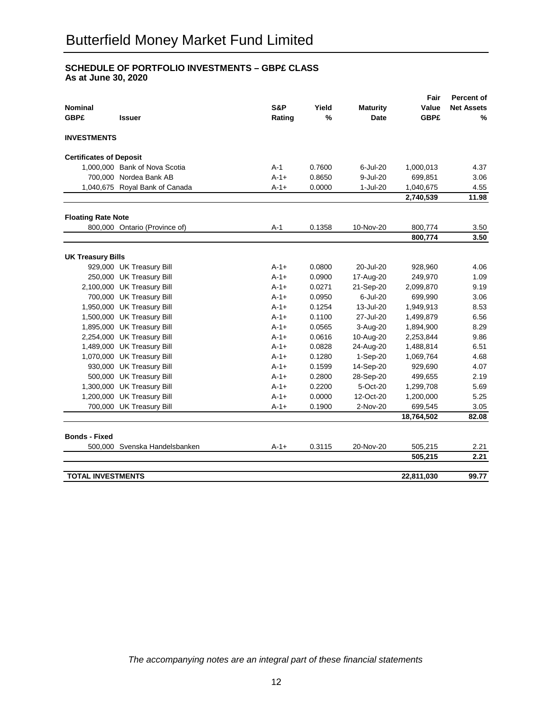# **SCHEDULE OF PORTFOLIO INVESTMENTS – GBP£ CLASS As at June 30, 2020**

|                                |                                |           |        |                 | Fair       | <b>Percent of</b> |
|--------------------------------|--------------------------------|-----------|--------|-----------------|------------|-------------------|
| <b>Nominal</b>                 |                                | S&P       | Yield  | <b>Maturity</b> | Value      | <b>Net Assets</b> |
| <b>GBP£</b>                    | <b>Issuer</b>                  | Rating    | $\%$   | Date            | GBP£       | %                 |
| <b>INVESTMENTS</b>             |                                |           |        |                 |            |                   |
| <b>Certificates of Deposit</b> |                                |           |        |                 |            |                   |
|                                | 1,000,000 Bank of Nova Scotia  | $A-1$     | 0.7600 | 6-Jul-20        | 1,000,013  | 4.37              |
|                                | 700,000 Nordea Bank AB         | $A - 1 +$ | 0.8650 | 9-Jul-20        | 699,851    | 3.06              |
|                                | 1,040,675 Royal Bank of Canada | $A - 1 +$ | 0.0000 | 1-Jul-20        | 1,040,675  | 4.55              |
|                                |                                |           |        |                 | 2,740,539  | 11.98             |
|                                |                                |           |        |                 |            |                   |
| <b>Floating Rate Note</b>      | 800,000 Ontario (Province of)  | A-1       | 0.1358 | 10-Nov-20       | 800,774    | 3.50              |
|                                |                                |           |        |                 | 800,774    | 3.50              |
|                                |                                |           |        |                 |            |                   |
| <b>UK Treasury Bills</b>       |                                |           |        |                 |            |                   |
|                                | 929,000 UK Treasury Bill       | $A - 1 +$ | 0.0800 | 20-Jul-20       | 928,960    | 4.06              |
|                                | 250,000 UK Treasury Bill       | $A - 1 +$ | 0.0900 | 17-Aug-20       | 249,970    | 1.09              |
|                                | 2,100,000 UK Treasury Bill     | $A - 1 +$ | 0.0271 | 21-Sep-20       | 2,099,870  | 9.19              |
|                                | 700,000 UK Treasury Bill       | $A - 1 +$ | 0.0950 | 6-Jul-20        | 699,990    | 3.06              |
|                                | 1,950,000 UK Treasury Bill     | $A - 1 +$ | 0.1254 | 13-Jul-20       | 1,949,913  | 8.53              |
|                                | 1,500,000 UK Treasury Bill     | $A - 1 +$ | 0.1100 | 27-Jul-20       | 1,499,879  | 6.56              |
|                                | 1,895,000 UK Treasury Bill     | $A - 1 +$ | 0.0565 | 3-Aug-20        | 1,894,900  | 8.29              |
|                                | 2,254,000 UK Treasury Bill     | $A - 1 +$ | 0.0616 | 10-Aug-20       | 2,253,844  | 9.86              |
|                                | 1,489,000 UK Treasury Bill     | $A - 1 +$ | 0.0828 | 24-Aug-20       | 1,488,814  | 6.51              |
|                                | 1,070,000 UK Treasury Bill     | $A - 1 +$ | 0.1280 | 1-Sep-20        | 1,069,764  | 4.68              |
|                                | 930,000 UK Treasury Bill       | $A - 1 +$ | 0.1599 | 14-Sep-20       | 929,690    | 4.07              |
|                                | 500,000 UK Treasury Bill       | $A - 1 +$ | 0.2800 | 28-Sep-20       | 499,655    | 2.19              |
|                                | 1,300,000 UK Treasury Bill     | $A-1+$    | 0.2200 | 5-Oct-20        | 1,299,708  | 5.69              |
|                                | 1,200,000 UK Treasury Bill     | $A-1+$    | 0.0000 | 12-Oct-20       | 1,200,000  | 5.25              |
|                                | 700,000 UK Treasury Bill       | $A-1+$    | 0.1900 | 2-Nov-20        | 699,545    | 3.05              |
|                                |                                |           |        |                 | 18,764,502 | 82.08             |
| <b>Bonds - Fixed</b>           |                                |           |        |                 |            |                   |
| 500,000                        | Svenska Handelsbanken          | $A - 1 +$ | 0.3115 | 20-Nov-20       | 505,215    | 2.21              |
|                                |                                |           |        |                 | 505,215    | 2.21              |
|                                |                                |           |        |                 |            |                   |
| <b>TOTAL INVESTMENTS</b>       |                                |           |        |                 | 22,811,030 | 99.77             |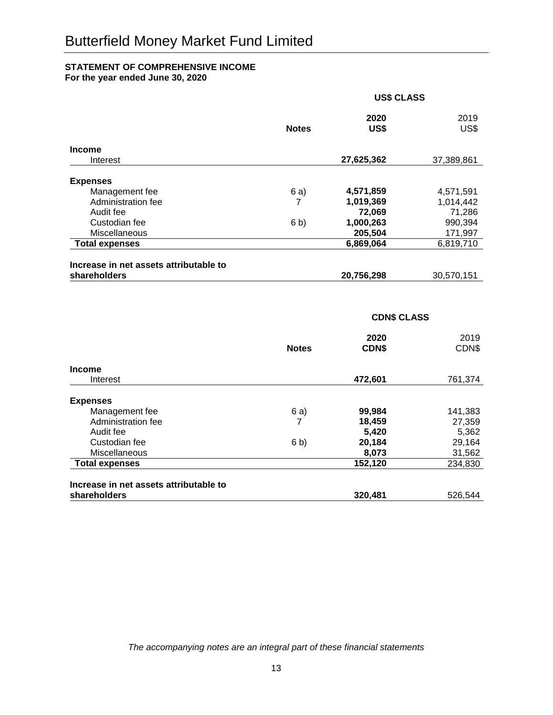# **STATEMENT OF COMPREHENSIVE INCOME**

**For the year ended June 30, 2020**

|                                                        | <b>US\$ CLASS</b> |              |              |  |
|--------------------------------------------------------|-------------------|--------------|--------------|--|
|                                                        | <b>Notes</b>      | 2020<br>US\$ | 2019<br>US\$ |  |
| <b>Income</b>                                          |                   |              |              |  |
| Interest                                               |                   | 27,625,362   | 37,389,861   |  |
| <b>Expenses</b>                                        |                   |              |              |  |
| Management fee                                         | 6 a)              | 4,571,859    | 4,571,591    |  |
| Administration fee                                     |                   | 1,019,369    | 1,014,442    |  |
| Audit fee                                              |                   | 72,069       | 71,286       |  |
| Custodian fee                                          | 6 b)              | 1,000,263    | 990,394      |  |
| Miscellaneous                                          |                   | 205,504      | 171,997      |  |
| <b>Total expenses</b>                                  |                   | 6,869,064    | 6,819,710    |  |
| Increase in net assets attributable to<br>shareholders |                   | 20,756,298   | 30,570,151   |  |

# **CDN\$ CLASS**

|                                        | <b>Notes</b>   | 2020<br><b>CDN\$</b> | 2019<br>CDN\$ |
|----------------------------------------|----------------|----------------------|---------------|
| <b>Income</b>                          |                |                      |               |
| Interest                               |                | 472,601              | 761,374       |
| <b>Expenses</b>                        |                |                      |               |
| Management fee                         | 6 a)           | 99,984               | 141,383       |
| Administration fee                     | 7              | 18,459               | 27,359        |
| Audit fee                              |                | 5,420                | 5,362         |
| Custodian fee                          | 6 <sub>b</sub> | 20,184               | 29,164        |
| <b>Miscellaneous</b>                   |                | 8,073                | 31,562        |
| <b>Total expenses</b>                  |                | 152,120              | 234,830       |
| Increase in net assets attributable to |                |                      |               |
| shareholders                           |                | 320,481              | 526,544       |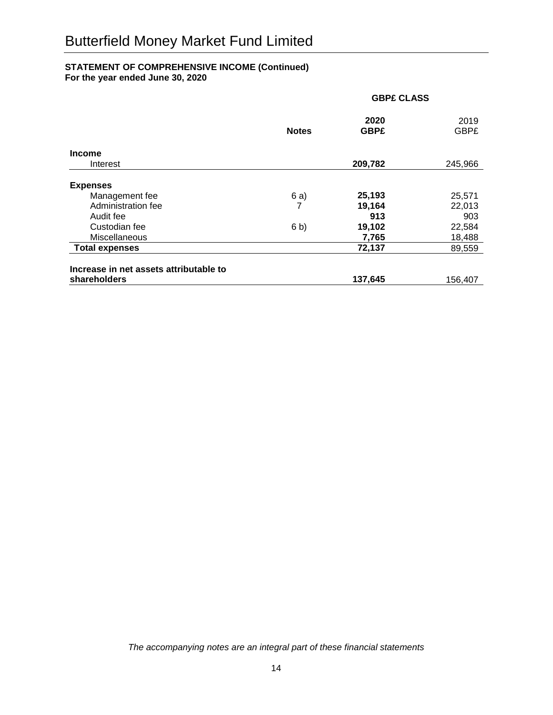# **STATEMENT OF COMPREHENSIVE INCOME (Continued) For the year ended June 30, 2020**

|                                        | <b>GBP£ CLASS</b> |                     |                     |
|----------------------------------------|-------------------|---------------------|---------------------|
|                                        | <b>Notes</b>      | 2020<br><b>GBP£</b> | 2019<br><b>GBP£</b> |
| <b>Income</b>                          |                   |                     |                     |
| Interest                               |                   | 209,782             | 245,966             |
| <b>Expenses</b>                        |                   |                     |                     |
| Management fee                         | 6 a)              | 25,193              | 25,571              |
| Administration fee                     | 7                 | 19,164              | 22,013              |
| Audit fee                              |                   | 913                 | 903                 |
| Custodian fee                          | 6 b)              | 19,102              | 22,584              |
| Miscellaneous                          |                   | 7,765               | 18,488              |
| <b>Total expenses</b>                  |                   | 72,137              | 89,559              |
| Increase in net assets attributable to |                   |                     |                     |
| shareholders                           |                   | 137,645             | 156,407             |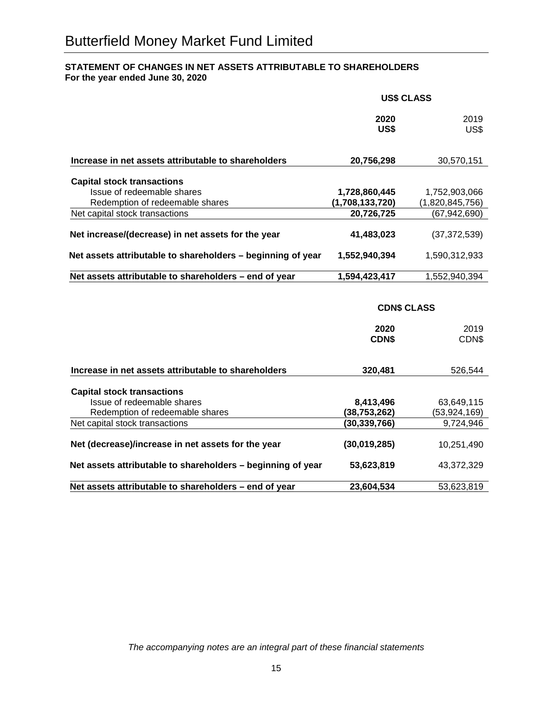# **STATEMENT OF CHANGES IN NET ASSETS ATTRIBUTABLE TO SHAREHOLDERS For the year ended June 30, 2020**

|                                                             | <b>US\$ CLASS</b> |                            |  |
|-------------------------------------------------------------|-------------------|----------------------------|--|
|                                                             | 2020<br>US\$      | 2019<br>US\$               |  |
| Increase in net assets attributable to shareholders         | 20,756,298        | 30,570,151                 |  |
| <b>Capital stock transactions</b>                           |                   |                            |  |
| Issue of redeemable shares                                  | 1,728,860,445     | 1,752,903,066              |  |
| Redemption of redeemable shares                             | (1,708,133,720)   | (1,820,845,756)            |  |
| Net capital stock transactions                              | 20,726,725        | (67, 942, 690)             |  |
| Net increase/(decrease) in net assets for the year          | 41,483,023        | (37, 372, 539)             |  |
| Net assets attributable to shareholders - beginning of year | 1,552,940,394     | 1,590,312,933              |  |
| Net assets attributable to shareholders - end of year       | 1,594,423,417     | 1,552,940,394              |  |
|                                                             | 2020              | <b>CDN\$ CLASS</b><br>2019 |  |
|                                                             | CDN\$             | CDN\$                      |  |
| Increase in net assets attributable to shareholders         | 320,481           | 526,544                    |  |
| <b>Capital stock transactions</b>                           |                   |                            |  |
| Issue of redeemable shares                                  | 8,413,496         | 63,649,115                 |  |
| Redemption of redeemable shares                             | (38, 753, 262)    | (53,924,169)               |  |
| Net capital stock transactions                              | (30, 339, 766)    | 9,724,946                  |  |
| Net (decrease)/increase in net assets for the year          | (30,019,285)      | 10,251,490                 |  |
| Net assets attributable to shareholders - beginning of year | 53,623,819        | 43,372,329                 |  |
| Net assets attributable to shareholders - end of year       | 23,604,534        | 53,623,819                 |  |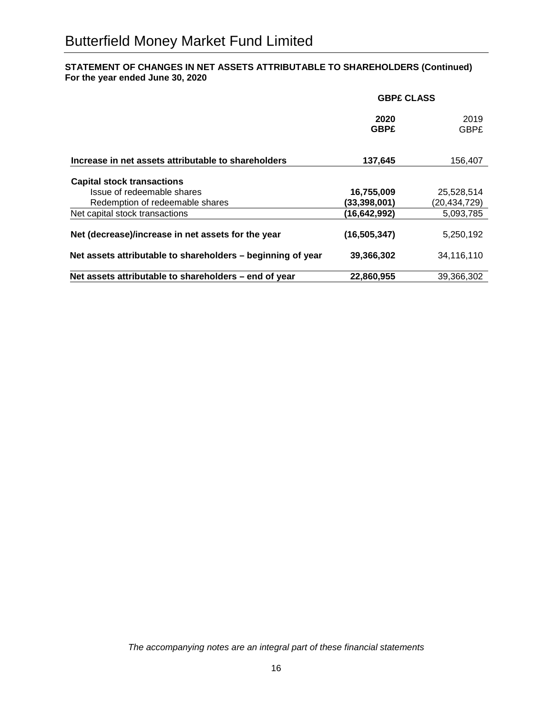# **STATEMENT OF CHANGES IN NET ASSETS ATTRIBUTABLE TO SHAREHOLDERS (Continued) For the year ended June 30, 2020**

|                                                             | <b>GBPE CLASS</b>   |                     |  |
|-------------------------------------------------------------|---------------------|---------------------|--|
|                                                             | 2020<br><b>GBP£</b> | 2019<br><b>GBP£</b> |  |
| Increase in net assets attributable to shareholders         | 137,645             | 156,407             |  |
| <b>Capital stock transactions</b>                           |                     |                     |  |
| Issue of redeemable shares                                  | 16,755,009          | 25,528,514          |  |
| Redemption of redeemable shares                             | (33,398,001)        | (20,434,729)        |  |
| Net capital stock transactions                              | (16,642,992)        | 5,093,785           |  |
| Net (decrease)/increase in net assets for the year          | (16, 505, 347)      | 5,250,192           |  |
| Net assets attributable to shareholders – beginning of year | 39,366,302          | 34,116,110          |  |
| Net assets attributable to shareholders - end of year       | 22,860,955          | 39,366,302          |  |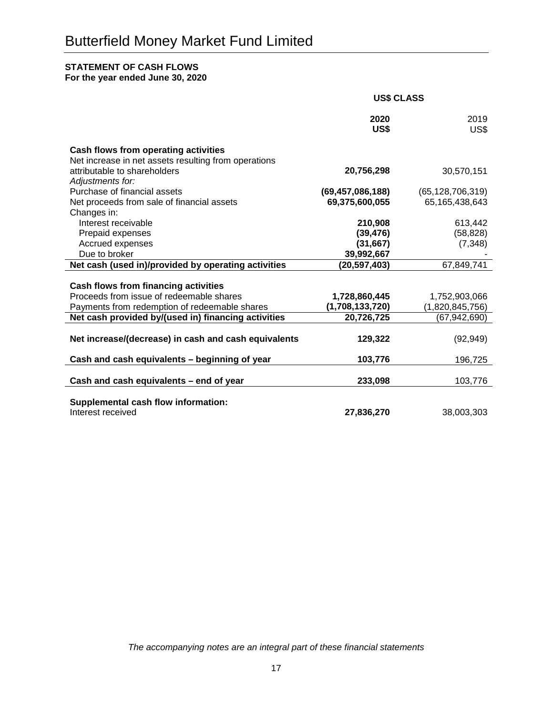# **STATEMENT OF CASH FLOWS**

**For the year ended June 30, 2020**

|                                                      | <b>US\$ CLASS</b>       |                     |  |  |
|------------------------------------------------------|-------------------------|---------------------|--|--|
|                                                      | 2020<br>US\$            | 2019<br>US\$        |  |  |
| Cash flows from operating activities                 |                         |                     |  |  |
| Net increase in net assets resulting from operations |                         |                     |  |  |
| attributable to shareholders                         | 20,756,298              | 30,570,151          |  |  |
| Adjustments for:                                     |                         |                     |  |  |
| Purchase of financial assets                         | (69, 457, 086, 188)     | (65, 128, 706, 319) |  |  |
| Net proceeds from sale of financial assets           | 69,375,600,055          | 65,165,438,643      |  |  |
| Changes in:                                          |                         |                     |  |  |
| Interest receivable                                  | 210,908                 | 613,442             |  |  |
| Prepaid expenses                                     | (39, 476)               | (58, 828)           |  |  |
| Accrued expenses<br>Due to broker                    | (31, 667)<br>39,992,667 | (7, 348)            |  |  |
| Net cash (used in)/provided by operating activities  | (20, 597, 403)          | 67,849,741          |  |  |
|                                                      |                         |                     |  |  |
| Cash flows from financing activities                 |                         |                     |  |  |
| Proceeds from issue of redeemable shares             | 1,728,860,445           | 1,752,903,066       |  |  |
| Payments from redemption of redeemable shares        | (1,708,133,720)         | (1,820,845,756)     |  |  |
| Net cash provided by/(used in) financing activities  | 20,726,725              | (67, 942, 690)      |  |  |
|                                                      |                         |                     |  |  |
| Net increase/(decrease) in cash and cash equivalents | 129,322                 | (92, 949)           |  |  |
|                                                      |                         |                     |  |  |
| Cash and cash equivalents - beginning of year        | 103,776                 | 196,725             |  |  |
| Cash and cash equivalents - end of year              | 233,098                 | 103,776             |  |  |
|                                                      |                         |                     |  |  |
| Supplemental cash flow information:                  |                         |                     |  |  |
| Interest received                                    | 27,836,270              | 38,003,303          |  |  |
|                                                      |                         |                     |  |  |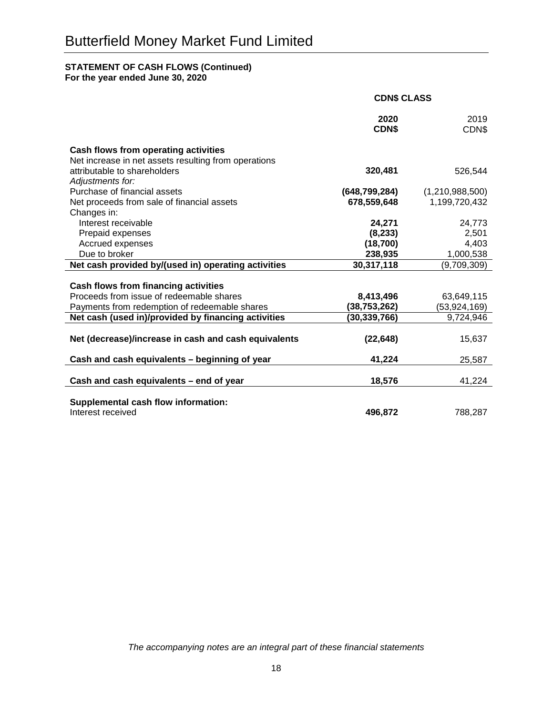# **STATEMENT OF CASH FLOWS (Continued)**

**For the year ended June 30, 2020**

|                                                      | <b>CDN\$ CLASS</b>  |                 |  |  |
|------------------------------------------------------|---------------------|-----------------|--|--|
|                                                      | 2020<br><b>CDNS</b> | 2019<br>CDN\$   |  |  |
|                                                      |                     |                 |  |  |
| Cash flows from operating activities                 |                     |                 |  |  |
| Net increase in net assets resulting from operations |                     |                 |  |  |
| attributable to shareholders                         | 320,481             | 526,544         |  |  |
| Adjustments for:                                     |                     |                 |  |  |
| Purchase of financial assets                         | (648, 799, 284)     | (1,210,988,500) |  |  |
| Net proceeds from sale of financial assets           | 678,559,648         | 1,199,720,432   |  |  |
| Changes in:                                          |                     |                 |  |  |
| Interest receivable                                  | 24,271              | 24,773          |  |  |
| Prepaid expenses                                     | (8, 233)            | 2,501           |  |  |
| Accrued expenses                                     | (18, 700)           | 4,403           |  |  |
| Due to broker                                        | 238,935             | 1,000,538       |  |  |
| Net cash provided by/(used in) operating activities  | 30,317,118          | (9,709,309)     |  |  |
|                                                      |                     |                 |  |  |
| Cash flows from financing activities                 |                     |                 |  |  |
| Proceeds from issue of redeemable shares             | 8,413,496           | 63,649,115      |  |  |
| Payments from redemption of redeemable shares        | (38, 753, 262)      | (53, 924, 169)  |  |  |
| Net cash (used in)/provided by financing activities  | (30, 339, 766)      | 9,724,946       |  |  |
|                                                      |                     |                 |  |  |
| Net (decrease)/increase in cash and cash equivalents | (22, 648)           | 15,637          |  |  |
| Cash and cash equivalents – beginning of year        | 41,224              | 25,587          |  |  |
|                                                      |                     |                 |  |  |
| Cash and cash equivalents - end of year              | 18,576              | 41,224          |  |  |
|                                                      |                     |                 |  |  |
| Supplemental cash flow information:                  |                     |                 |  |  |
| Interest received                                    | 496,872             | 788,287         |  |  |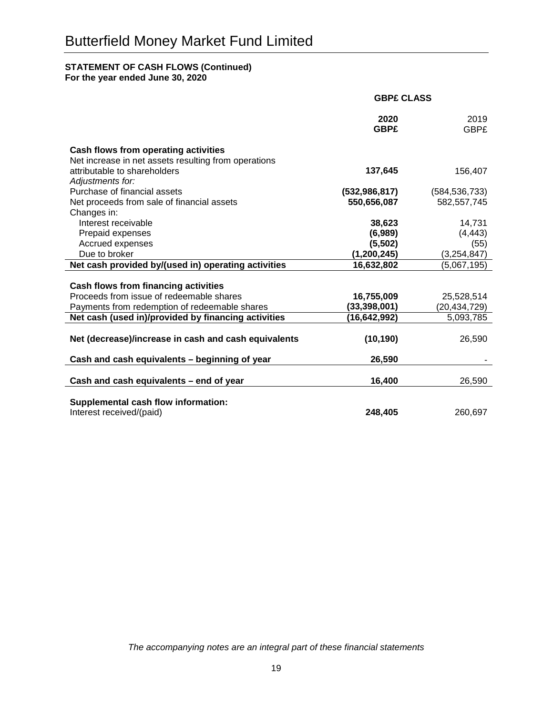# **STATEMENT OF CASH FLOWS (Continued)**

**For the year ended June 30, 2020**

|                                                      | <b>GBPE CLASS</b>   |                     |  |  |
|------------------------------------------------------|---------------------|---------------------|--|--|
|                                                      | 2020<br><b>GBP£</b> | 2019<br><b>GBP£</b> |  |  |
|                                                      |                     |                     |  |  |
| Cash flows from operating activities                 |                     |                     |  |  |
| Net increase in net assets resulting from operations |                     |                     |  |  |
| attributable to shareholders                         | 137,645             | 156,407             |  |  |
| Adjustments for:                                     |                     |                     |  |  |
| Purchase of financial assets                         | (532, 986, 817)     | (584,536,733)       |  |  |
| Net proceeds from sale of financial assets           | 550,656,087         | 582,557,745         |  |  |
| Changes in:                                          |                     |                     |  |  |
| Interest receivable                                  | 38,623              | 14,731              |  |  |
| Prepaid expenses                                     | (6,989)             | (4, 443)            |  |  |
| Accrued expenses                                     | (5,502)             | (55)                |  |  |
| Due to broker                                        | (1, 200, 245)       | (3,254,847)         |  |  |
| Net cash provided by/(used in) operating activities  | 16,632,802          | (5,067,195)         |  |  |
|                                                      |                     |                     |  |  |
| Cash flows from financing activities                 |                     |                     |  |  |
| Proceeds from issue of redeemable shares             | 16,755,009          | 25,528,514          |  |  |
| Payments from redemption of redeemable shares        | (33, 398, 001)      | (20, 434, 729)      |  |  |
| Net cash (used in)/provided by financing activities  | (16,642,992)        | 5,093,785           |  |  |
|                                                      |                     |                     |  |  |
| Net (decrease)/increase in cash and cash equivalents | (10, 190)           | 26,590              |  |  |
| Cash and cash equivalents – beginning of year        | 26,590              |                     |  |  |
| Cash and cash equivalents - end of year              | 16,400              | 26,590              |  |  |
|                                                      |                     |                     |  |  |
| Supplemental cash flow information:                  |                     |                     |  |  |
| Interest received/(paid)                             | 248,405             | 260,697             |  |  |
|                                                      |                     |                     |  |  |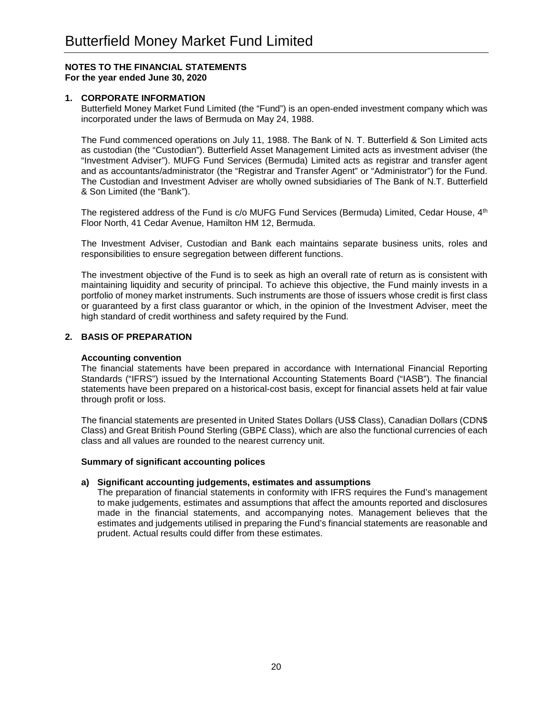# **1. CORPORATE INFORMATION**

Butterfield Money Market Fund Limited (the "Fund") is an open-ended investment company which was incorporated under the laws of Bermuda on May 24, 1988.

The Fund commenced operations on July 11, 1988. The Bank of N. T. Butterfield & Son Limited acts as custodian (the "Custodian"). Butterfield Asset Management Limited acts as investment adviser (the "Investment Adviser"). MUFG Fund Services (Bermuda) Limited acts as registrar and transfer agent and as accountants/administrator (the "Registrar and Transfer Agent" or "Administrator") for the Fund. The Custodian and Investment Adviser are wholly owned subsidiaries of The Bank of N.T. Butterfield & Son Limited (the "Bank").

The registered address of the Fund is c/o MUFG Fund Services (Bermuda) Limited, Cedar House, 4<sup>th</sup> Floor North, 41 Cedar Avenue, Hamilton HM 12, Bermuda.

The Investment Adviser, Custodian and Bank each maintains separate business units, roles and responsibilities to ensure segregation between different functions.

The investment objective of the Fund is to seek as high an overall rate of return as is consistent with maintaining liquidity and security of principal. To achieve this objective, the Fund mainly invests in a portfolio of money market instruments. Such instruments are those of issuers whose credit is first class or guaranteed by a first class guarantor or which, in the opinion of the Investment Adviser, meet the high standard of credit worthiness and safety required by the Fund.

# **2. BASIS OF PREPARATION**

#### **Accounting convention**

The financial statements have been prepared in accordance with International Financial Reporting Standards ("IFRS") issued by the International Accounting Statements Board ("IASB"). The financial statements have been prepared on a historical-cost basis, except for financial assets held at fair value through profit or loss.

The financial statements are presented in United States Dollars (US\$ Class), Canadian Dollars (CDN\$ Class) and Great British Pound Sterling (GBP£ Class), which are also the functional currencies of each class and all values are rounded to the nearest currency unit.

#### **Summary of significant accounting polices**

#### **a) Significant accounting judgements, estimates and assumptions**

The preparation of financial statements in conformity with IFRS requires the Fund's management to make judgements, estimates and assumptions that affect the amounts reported and disclosures made in the financial statements, and accompanying notes. Management believes that the estimates and judgements utilised in preparing the Fund's financial statements are reasonable and prudent. Actual results could differ from these estimates.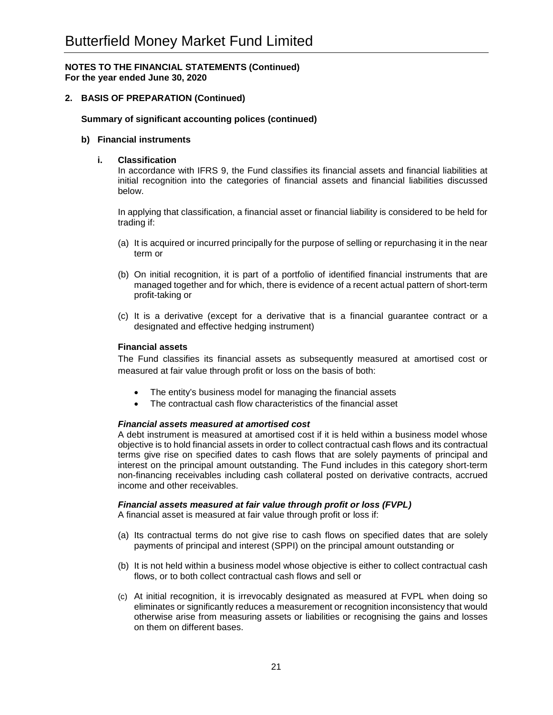# **2. BASIS OF PREPARATION (Continued)**

#### **Summary of significant accounting polices (continued)**

- **b) Financial instruments**
	- **i. Classification**

In accordance with IFRS 9, the Fund classifies its financial assets and financial liabilities at initial recognition into the categories of financial assets and financial liabilities discussed below.

In applying that classification, a financial asset or financial liability is considered to be held for trading if:

- (a) It is acquired or incurred principally for the purpose of selling or repurchasing it in the near term or
- (b) On initial recognition, it is part of a portfolio of identified financial instruments that are managed together and for which, there is evidence of a recent actual pattern of short-term profit-taking or
- (c) It is a derivative (except for a derivative that is a financial guarantee contract or a designated and effective hedging instrument)

#### **Financial assets**

The Fund classifies its financial assets as subsequently measured at amortised cost or measured at fair value through profit or loss on the basis of both:

- The entity's business model for managing the financial assets
- The contractual cash flow characteristics of the financial asset

#### *Financial assets measured at amortised cost*

A debt instrument is measured at amortised cost if it is held within a business model whose objective is to hold financial assets in order to collect contractual cash flows and its contractual terms give rise on specified dates to cash flows that are solely payments of principal and interest on the principal amount outstanding. The Fund includes in this category short-term non-financing receivables including cash collateral posted on derivative contracts, accrued income and other receivables.

#### *Financial assets measured at fair value through profit or loss (FVPL)*

A financial asset is measured at fair value through profit or loss if:

- (a) Its contractual terms do not give rise to cash flows on specified dates that are solely payments of principal and interest (SPPI) on the principal amount outstanding or
- (b) It is not held within a business model whose objective is either to collect contractual cash flows, or to both collect contractual cash flows and sell or
- (c) At initial recognition, it is irrevocably designated as measured at FVPL when doing so eliminates or significantly reduces a measurement or recognition inconsistency that would otherwise arise from measuring assets or liabilities or recognising the gains and losses on them on different bases.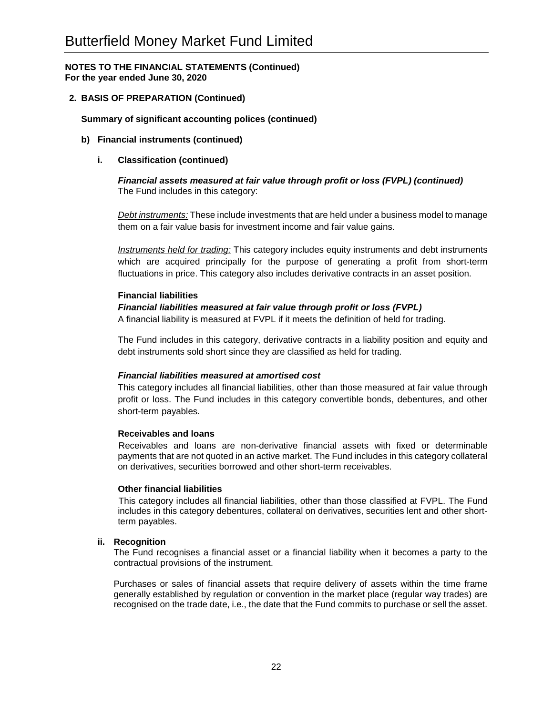# **2. BASIS OF PREPARATION (Continued)**

**Summary of significant accounting polices (continued)**

- **b) Financial instruments (continued)**
	- **i. Classification (continued)**

*Financial assets measured at fair value through profit or loss (FVPL) (continued)* The Fund includes in this category:

*Debt instruments:* These include investments that are held under a business model to manage them on a fair value basis for investment income and fair value gains.

*Instruments held for trading:* This category includes equity instruments and debt instruments which are acquired principally for the purpose of generating a profit from short-term fluctuations in price. This category also includes derivative contracts in an asset position.

# **Financial liabilities**

#### *Financial liabilities measured at fair value through profit or loss (FVPL)*

A financial liability is measured at FVPL if it meets the definition of held for trading.

The Fund includes in this category, derivative contracts in a liability position and equity and debt instruments sold short since they are classified as held for trading.

#### *Financial liabilities measured at amortised cost*

This category includes all financial liabilities, other than those measured at fair value through profit or loss. The Fund includes in this category convertible bonds, debentures, and other short-term payables.

#### **Receivables and loans**

Receivables and loans are non-derivative financial assets with fixed or determinable payments that are not quoted in an active market. The Fund includes in this category collateral on derivatives, securities borrowed and other short-term receivables.

#### **Other financial liabilities**

This category includes all financial liabilities, other than those classified at FVPL. The Fund includes in this category debentures, collateral on derivatives, securities lent and other shortterm payables.

#### **ii. Recognition**

The Fund recognises a financial asset or a financial liability when it becomes a party to the contractual provisions of the instrument.

Purchases or sales of financial assets that require delivery of assets within the time frame generally established by regulation or convention in the market place (regular way trades) are recognised on the trade date, i.e., the date that the Fund commits to purchase or sell the asset.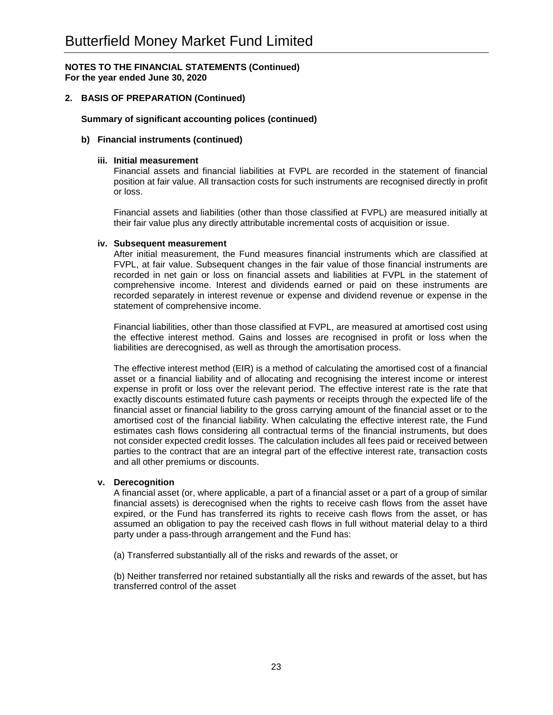# **2. BASIS OF PREPARATION (Continued)**

### **Summary of significant accounting polices (continued)**

# **b) Financial instruments (continued)**

#### **iii. Initial measurement**

Financial assets and financial liabilities at FVPL are recorded in the statement of financial position at fair value. All transaction costs for such instruments are recognised directly in profit or loss.

Financial assets and liabilities (other than those classified at FVPL) are measured initially at their fair value plus any directly attributable incremental costs of acquisition or issue.

#### **iv. Subsequent measurement**

After initial measurement, the Fund measures financial instruments which are classified at FVPL, at fair value. Subsequent changes in the fair value of those financial instruments are recorded in net gain or loss on financial assets and liabilities at FVPL in the statement of comprehensive income. Interest and dividends earned or paid on these instruments are recorded separately in interest revenue or expense and dividend revenue or expense in the statement of comprehensive income.

Financial liabilities, other than those classified at FVPL, are measured at amortised cost using the effective interest method. Gains and losses are recognised in profit or loss when the liabilities are derecognised, as well as through the amortisation process.

The effective interest method (EIR) is a method of calculating the amortised cost of a financial asset or a financial liability and of allocating and recognising the interest income or interest expense in profit or loss over the relevant period. The effective interest rate is the rate that exactly discounts estimated future cash payments or receipts through the expected life of the financial asset or financial liability to the gross carrying amount of the financial asset or to the amortised cost of the financial liability. When calculating the effective interest rate, the Fund estimates cash flows considering all contractual terms of the financial instruments, but does not consider expected credit losses. The calculation includes all fees paid or received between parties to the contract that are an integral part of the effective interest rate, transaction costs and all other premiums or discounts.

#### **v. Derecognition**

A financial asset (or, where applicable, a part of a financial asset or a part of a group of similar financial assets) is derecognised when the rights to receive cash flows from the asset have expired, or the Fund has transferred its rights to receive cash flows from the asset, or has assumed an obligation to pay the received cash flows in full without material delay to a third party under a pass-through arrangement and the Fund has:

(a) Transferred substantially all of the risks and rewards of the asset, or

(b) Neither transferred nor retained substantially all the risks and rewards of the asset, but has transferred control of the asset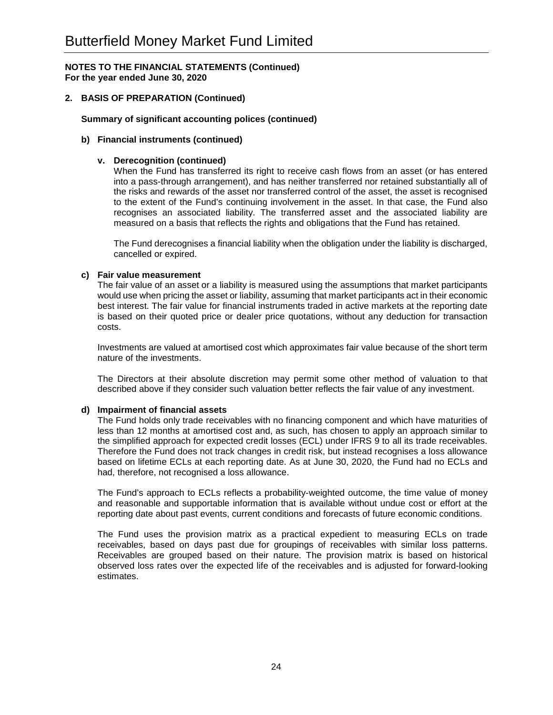# **2. BASIS OF PREPARATION (Continued)**

### **Summary of significant accounting polices (continued)**

### **b) Financial instruments (continued)**

### **v. Derecognition (continued)**

When the Fund has transferred its right to receive cash flows from an asset (or has entered into a pass-through arrangement), and has neither transferred nor retained substantially all of the risks and rewards of the asset nor transferred control of the asset, the asset is recognised to the extent of the Fund's continuing involvement in the asset. In that case, the Fund also recognises an associated liability. The transferred asset and the associated liability are measured on a basis that reflects the rights and obligations that the Fund has retained.

The Fund derecognises a financial liability when the obligation under the liability is discharged, cancelled or expired.

# **c) Fair value measurement**

The fair value of an asset or a liability is measured using the assumptions that market participants would use when pricing the asset or liability, assuming that market participants act in their economic best interest. The fair value for financial instruments traded in active markets at the reporting date is based on their quoted price or dealer price quotations, without any deduction for transaction costs.

Investments are valued at amortised cost which approximates fair value because of the short term nature of the investments.

The Directors at their absolute discretion may permit some other method of valuation to that described above if they consider such valuation better reflects the fair value of any investment.

#### **d) Impairment of financial assets**

The Fund holds only trade receivables with no financing component and which have maturities of less than 12 months at amortised cost and, as such, has chosen to apply an approach similar to the simplified approach for expected credit losses (ECL) under IFRS 9 to all its trade receivables. Therefore the Fund does not track changes in credit risk, but instead recognises a loss allowance based on lifetime ECLs at each reporting date. As at June 30, 2020, the Fund had no ECLs and had, therefore, not recognised a loss allowance.

The Fund's approach to ECLs reflects a probability-weighted outcome, the time value of money and reasonable and supportable information that is available without undue cost or effort at the reporting date about past events, current conditions and forecasts of future economic conditions.

The Fund uses the provision matrix as a practical expedient to measuring ECLs on trade receivables, based on days past due for groupings of receivables with similar loss patterns. Receivables are grouped based on their nature. The provision matrix is based on historical observed loss rates over the expected life of the receivables and is adjusted for forward-looking estimates.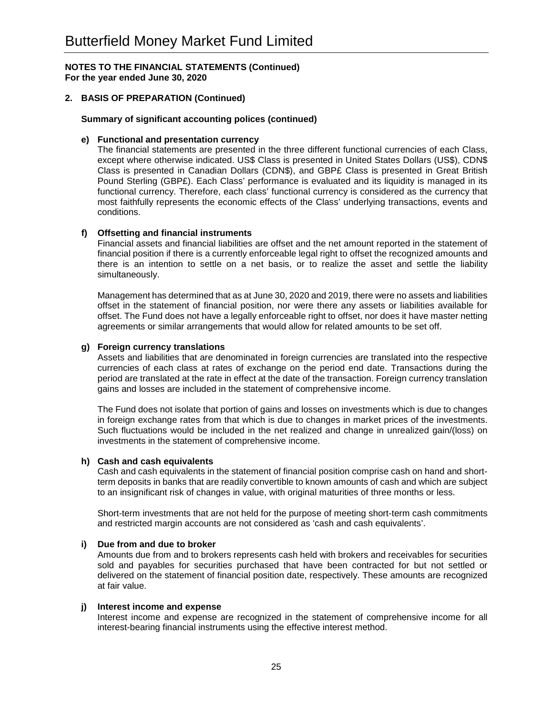# **2. BASIS OF PREPARATION (Continued)**

### **Summary of significant accounting polices (continued)**

### **e) Functional and presentation currency**

The financial statements are presented in the three different functional currencies of each Class, except where otherwise indicated. US\$ Class is presented in United States Dollars (US\$), CDN\$ Class is presented in Canadian Dollars (CDN\$), and GBP£ Class is presented in Great British Pound Sterling (GBP£). Each Class' performance is evaluated and its liquidity is managed in its functional currency. Therefore, each class' functional currency is considered as the currency that most faithfully represents the economic effects of the Class' underlying transactions, events and conditions.

# **f) Offsetting and financial instruments**

Financial assets and financial liabilities are offset and the net amount reported in the statement of financial position if there is a currently enforceable legal right to offset the recognized amounts and there is an intention to settle on a net basis, or to realize the asset and settle the liability simultaneously.

Management has determined that as at June 30, 2020 and 2019, there were no assets and liabilities offset in the statement of financial position, nor were there any assets or liabilities available for offset. The Fund does not have a legally enforceable right to offset, nor does it have master netting agreements or similar arrangements that would allow for related amounts to be set off.

#### **g) Foreign currency translations**

Assets and liabilities that are denominated in foreign currencies are translated into the respective currencies of each class at rates of exchange on the period end date. Transactions during the period are translated at the rate in effect at the date of the transaction. Foreign currency translation gains and losses are included in the statement of comprehensive income.

The Fund does not isolate that portion of gains and losses on investments which is due to changes in foreign exchange rates from that which is due to changes in market prices of the investments. Such fluctuations would be included in the net realized and change in unrealized gain/(loss) on investments in the statement of comprehensive income.

# **h) Cash and cash equivalents**

Cash and cash equivalents in the statement of financial position comprise cash on hand and shortterm deposits in banks that are readily convertible to known amounts of cash and which are subject to an insignificant risk of changes in value, with original maturities of three months or less.

Short-term investments that are not held for the purpose of meeting short-term cash commitments and restricted margin accounts are not considered as 'cash and cash equivalents'.

### **i) Due from and due to broker**

Amounts due from and to brokers represents cash held with brokers and receivables for securities sold and payables for securities purchased that have been contracted for but not settled or delivered on the statement of financial position date, respectively. These amounts are recognized at fair value.

# **j) Interest income and expense**

Interest income and expense are recognized in the statement of comprehensive income for all interest-bearing financial instruments using the effective interest method.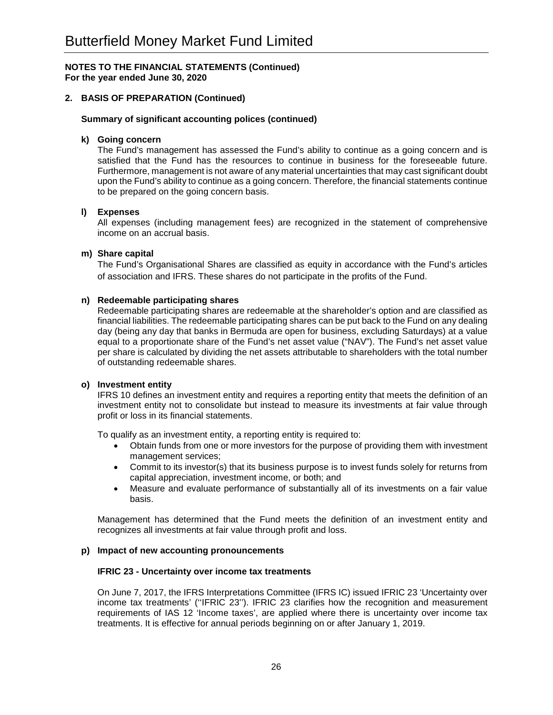# **2. BASIS OF PREPARATION (Continued)**

#### **Summary of significant accounting polices (continued)**

#### **k) Going concern**

The Fund's management has assessed the Fund's ability to continue as a going concern and is satisfied that the Fund has the resources to continue in business for the foreseeable future. Furthermore, management is not aware of any material uncertainties that may cast significant doubt upon the Fund's ability to continue as a going concern. Therefore, the financial statements continue to be prepared on the going concern basis.

#### **l) Expenses**

All expenses (including management fees) are recognized in the statement of comprehensive income on an accrual basis.

#### **m) Share capital**

The Fund's Organisational Shares are classified as equity in accordance with the Fund's articles of association and IFRS. These shares do not participate in the profits of the Fund.

#### **n) Redeemable participating shares**

Redeemable participating shares are redeemable at the shareholder's option and are classified as financial liabilities. The redeemable participating shares can be put back to the Fund on any dealing day (being any day that banks in Bermuda are open for business, excluding Saturdays) at a value equal to a proportionate share of the Fund's net asset value ("NAV"). The Fund's net asset value per share is calculated by dividing the net assets attributable to shareholders with the total number of outstanding redeemable shares.

#### **o) Investment entity**

IFRS 10 defines an investment entity and requires a reporting entity that meets the definition of an investment entity not to consolidate but instead to measure its investments at fair value through profit or loss in its financial statements.

To qualify as an investment entity, a reporting entity is required to:

- Obtain funds from one or more investors for the purpose of providing them with investment management services;
- Commit to its investor(s) that its business purpose is to invest funds solely for returns from capital appreciation, investment income, or both; and
- Measure and evaluate performance of substantially all of its investments on a fair value basis.

Management has determined that the Fund meets the definition of an investment entity and recognizes all investments at fair value through profit and loss.

# **p) Impact of new accounting pronouncements**

#### **IFRIC 23 - Uncertainty over income tax treatments**

On June 7, 2017, the IFRS Interpretations Committee (IFRS IC) issued IFRIC 23 'Uncertainty over income tax treatments' (''IFRIC 23''). IFRIC 23 clarifies how the recognition and measurement requirements of IAS 12 'Income taxes', are applied where there is uncertainty over income tax treatments. It is effective for annual periods beginning on or after January 1, 2019.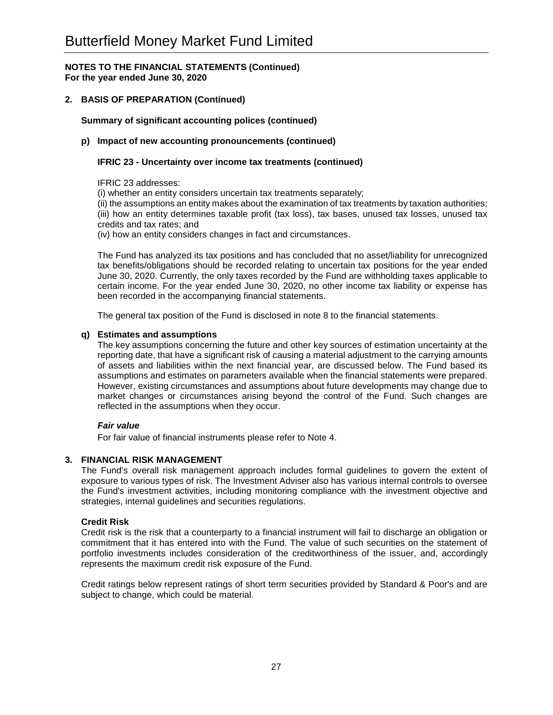# **2. BASIS OF PREPARATION (Continued)**

# **Summary of significant accounting polices (continued)**

# **p) Impact of new accounting pronouncements (continued)**

# **IFRIC 23 - Uncertainty over income tax treatments (continued)**

IFRIC 23 addresses:

(i) whether an entity considers uncertain tax treatments separately;

(ii) the assumptions an entity makes about the examination of tax treatments by taxation authorities; (iii) how an entity determines taxable profit (tax loss), tax bases, unused tax losses, unused tax credits and tax rates; and

(iv) how an entity considers changes in fact and circumstances.

The Fund has analyzed its tax positions and has concluded that no asset/liability for unrecognized tax benefits/obligations should be recorded relating to uncertain tax positions for the year ended June 30, 2020. Currently, the only taxes recorded by the Fund are withholding taxes applicable to certain income. For the year ended June 30, 2020, no other income tax liability or expense has been recorded in the accompanying financial statements.

The general tax position of the Fund is disclosed in note 8 to the financial statements.

# **q) Estimates and assumptions**

The key assumptions concerning the future and other key sources of estimation uncertainty at the reporting date, that have a significant risk of causing a material adjustment to the carrying amounts of assets and liabilities within the next financial year, are discussed below. The Fund based its assumptions and estimates on parameters available when the financial statements were prepared. However, existing circumstances and assumptions about future developments may change due to market changes or circumstances arising beyond the control of the Fund. Such changes are reflected in the assumptions when they occur.

# *Fair value*

For fair value of financial instruments please refer to Note 4.

# **3. FINANCIAL RISK MANAGEMENT**

The Fund's overall risk management approach includes formal guidelines to govern the extent of exposure to various types of risk. The Investment Adviser also has various internal controls to oversee the Fund's investment activities, including monitoring compliance with the investment objective and strategies, internal guidelines and securities regulations.

#### **Credit Risk**

Credit risk is the risk that a counterparty to a financial instrument will fail to discharge an obligation or commitment that it has entered into with the Fund. The value of such securities on the statement of portfolio investments includes consideration of the creditworthiness of the issuer, and, accordingly represents the maximum credit risk exposure of the Fund.

Credit ratings below represent ratings of short term securities provided by Standard & Poor's and are subject to change, which could be material.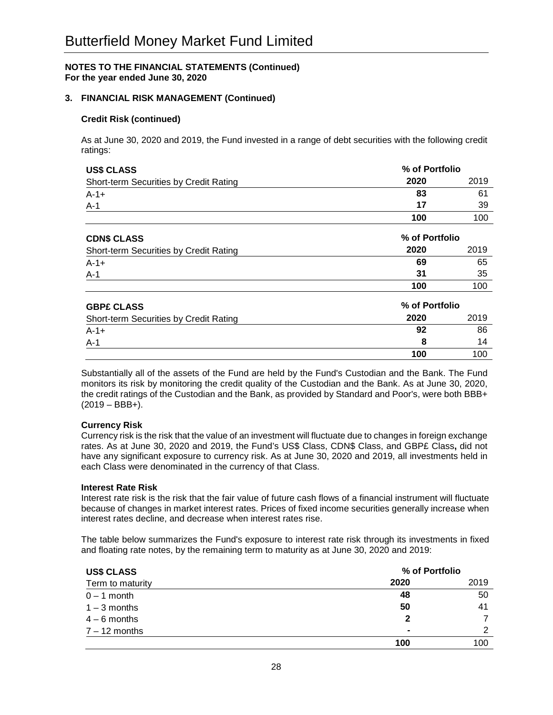# **3. FINANCIAL RISK MANAGEMENT (Continued)**

# **Credit Risk (continued)**

As at June 30, 2020 and 2019, the Fund invested in a range of debt securities with the following credit ratings:

| <b>US\$ CLASS</b>                      | % of Portfolio |      |  |
|----------------------------------------|----------------|------|--|
| Short-term Securities by Credit Rating | 2020           | 2019 |  |
| $A - 1 +$                              | 83             | 61   |  |
| $A-1$                                  | 17             | 39   |  |
|                                        | 100            | 100  |  |
| <b>CDN\$ CLASS</b>                     | % of Portfolio |      |  |
| Short-term Securities by Credit Rating | 2020           | 2019 |  |
| $A-1+$                                 | 69             | 65   |  |
| $A-1$                                  | 31             | 35   |  |
|                                        | 100            | 100  |  |
| <b>GBP£ CLASS</b>                      | % of Portfolio |      |  |
| Short-term Securities by Credit Rating | 2020           | 2019 |  |
| $A - 1 +$                              | 92             | 86   |  |
| $A-1$                                  | 8              | 14   |  |
|                                        | 100            | 100  |  |

Substantially all of the assets of the Fund are held by the Fund's Custodian and the Bank. The Fund monitors its risk by monitoring the credit quality of the Custodian and the Bank. As at June 30, 2020, the credit ratings of the Custodian and the Bank, as provided by Standard and Poor's, were both BBB+  $(2019 - BBB + ).$ 

#### **Currency Risk**

Currency risk is the risk that the value of an investment will fluctuate due to changes in foreign exchange rates. As at June 30, 2020 and 2019, the Fund's US\$ Class, CDN\$ Class, and GBP£ Class**,** did not have any significant exposure to currency risk. As at June 30, 2020 and 2019, all investments held in each Class were denominated in the currency of that Class.

#### **Interest Rate Risk**

Interest rate risk is the risk that the fair value of future cash flows of a financial instrument will fluctuate because of changes in market interest rates. Prices of fixed income securities generally increase when interest rates decline, and decrease when interest rates rise.

The table below summarizes the Fund's exposure to interest rate risk through its investments in fixed and floating rate notes, by the remaining term to maturity as at June 30, 2020 and 2019:

| <b>US\$ CLASS</b> | % of Portfolio |      |  |  |
|-------------------|----------------|------|--|--|
| Term to maturity  | 2020           | 2019 |  |  |
| $0 - 1$ month     | 48             | 50   |  |  |
| $1 - 3$ months    | 50             | 41   |  |  |
| $4 - 6$ months    |                |      |  |  |
| $7 - 12$ months   | $\blacksquare$ | ົ    |  |  |
|                   | 100            | 100  |  |  |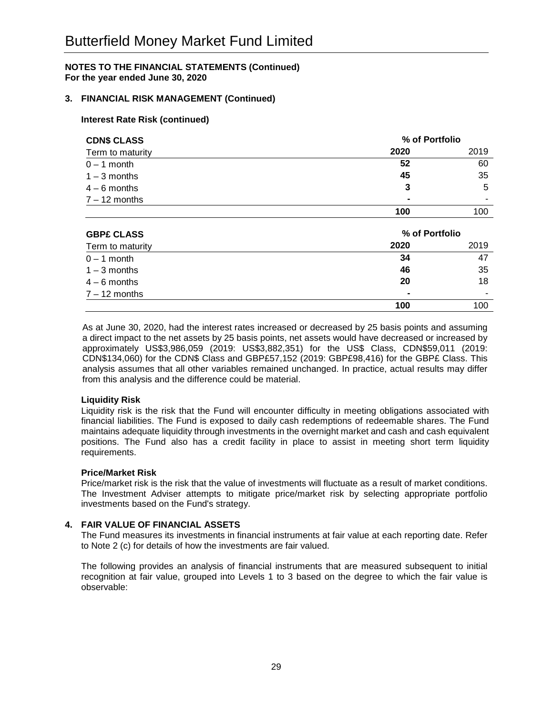# **3. FINANCIAL RISK MANAGEMENT (Continued)**

#### **Interest Rate Risk (continued)**

| <b>CDN\$ CLASS</b> | % of Portfolio |      |  |  |  |
|--------------------|----------------|------|--|--|--|
| Term to maturity   | 2020           | 2019 |  |  |  |
| $0 - 1$ month      | 52             | 60   |  |  |  |
| $1 - 3$ months     | 45             | 35   |  |  |  |
| $4 - 6$ months     |                | 5    |  |  |  |
| $7 - 12$ months    | $\blacksquare$ | ۰    |  |  |  |
|                    | 100            | 100  |  |  |  |

| <b>GBP£ CLASS</b> | % of Portfolio |      |  |  |  |
|-------------------|----------------|------|--|--|--|
| Term to maturity  | 2020           | 2019 |  |  |  |
| $0 - 1$ month     | 34             | 47   |  |  |  |
| $1 - 3$ months    | 46             | 35   |  |  |  |
| $4 - 6$ months    | 20             | 18   |  |  |  |
| $7 - 12$ months   | $\blacksquare$ | ٠    |  |  |  |
|                   | 100            | 100  |  |  |  |

As at June 30, 2020, had the interest rates increased or decreased by 25 basis points and assuming a direct impact to the net assets by 25 basis points, net assets would have decreased or increased by approximately US\$3,986,059 (2019: US\$3,882,351) for the US\$ Class, CDN\$59,011 (2019: CDN\$134,060) for the CDN\$ Class and GBP£57,152 (2019: GBP£98,416) for the GBP£ Class. This analysis assumes that all other variables remained unchanged. In practice, actual results may differ from this analysis and the difference could be material.

#### **Liquidity Risk**

Liquidity risk is the risk that the Fund will encounter difficulty in meeting obligations associated with financial liabilities. The Fund is exposed to daily cash redemptions of redeemable shares. The Fund maintains adequate liquidity through investments in the overnight market and cash and cash equivalent positions. The Fund also has a credit facility in place to assist in meeting short term liquidity requirements.

#### **Price/Market Risk**

Price/market risk is the risk that the value of investments will fluctuate as a result of market conditions. The Investment Adviser attempts to mitigate price/market risk by selecting appropriate portfolio investments based on the Fund's strategy.

#### **4. FAIR VALUE OF FINANCIAL ASSETS**

The Fund measures its investments in financial instruments at fair value at each reporting date. Refer to Note 2 (c) for details of how the investments are fair valued.

The following provides an analysis of financial instruments that are measured subsequent to initial recognition at fair value, grouped into Levels 1 to 3 based on the degree to which the fair value is observable: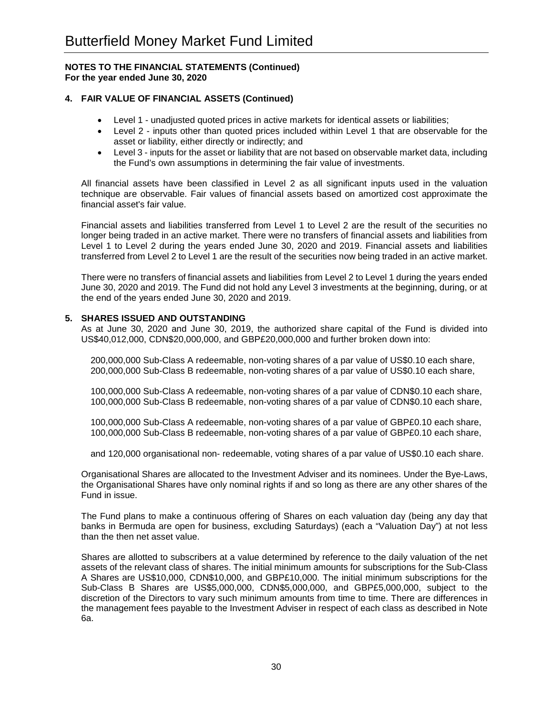# **4. FAIR VALUE OF FINANCIAL ASSETS (Continued)**

- Level 1 unadjusted quoted prices in active markets for identical assets or liabilities;
- Level 2 inputs other than quoted prices included within Level 1 that are observable for the asset or liability, either directly or indirectly; and
- Level 3 inputs for the asset or liability that are not based on observable market data, including the Fund's own assumptions in determining the fair value of investments.

All financial assets have been classified in Level 2 as all significant inputs used in the valuation technique are observable. Fair values of financial assets based on amortized cost approximate the financial asset's fair value.

Financial assets and liabilities transferred from Level 1 to Level 2 are the result of the securities no longer being traded in an active market. There were no transfers of financial assets and liabilities from Level 1 to Level 2 during the years ended June 30, 2020 and 2019. Financial assets and liabilities transferred from Level 2 to Level 1 are the result of the securities now being traded in an active market.

There were no transfers of financial assets and liabilities from Level 2 to Level 1 during the years ended June 30, 2020 and 2019. The Fund did not hold any Level 3 investments at the beginning, during, or at the end of the years ended June 30, 2020 and 2019.

# **5. SHARES ISSUED AND OUTSTANDING**

As at June 30, 2020 and June 30, 2019, the authorized share capital of the Fund is divided into US\$40,012,000, CDN\$20,000,000, and GBP£20,000,000 and further broken down into:

200,000,000 Sub-Class A redeemable, non-voting shares of a par value of US\$0.10 each share, 200,000,000 Sub-Class B redeemable, non-voting shares of a par value of US\$0.10 each share,

100,000,000 Sub-Class A redeemable, non-voting shares of a par value of CDN\$0.10 each share, 100,000,000 Sub-Class B redeemable, non-voting shares of a par value of CDN\$0.10 each share,

100,000,000 Sub-Class A redeemable, non-voting shares of a par value of GBP£0.10 each share, 100,000,000 Sub-Class B redeemable, non-voting shares of a par value of GBP£0.10 each share,

and 120,000 organisational non- redeemable, voting shares of a par value of US\$0.10 each share.

Organisational Shares are allocated to the Investment Adviser and its nominees. Under the Bye-Laws, the Organisational Shares have only nominal rights if and so long as there are any other shares of the Fund in issue.

The Fund plans to make a continuous offering of Shares on each valuation day (being any day that banks in Bermuda are open for business, excluding Saturdays) (each a "Valuation Day") at not less than the then net asset value.

Shares are allotted to subscribers at a value determined by reference to the daily valuation of the net assets of the relevant class of shares. The initial minimum amounts for subscriptions for the Sub-Class A Shares are US\$10,000, CDN\$10,000, and GBP£10,000. The initial minimum subscriptions for the Sub-Class B Shares are US\$5,000,000, CDN\$5,000,000, and GBP£5,000,000, subject to the discretion of the Directors to vary such minimum amounts from time to time. There are differences in the management fees payable to the Investment Adviser in respect of each class as described in Note 6a.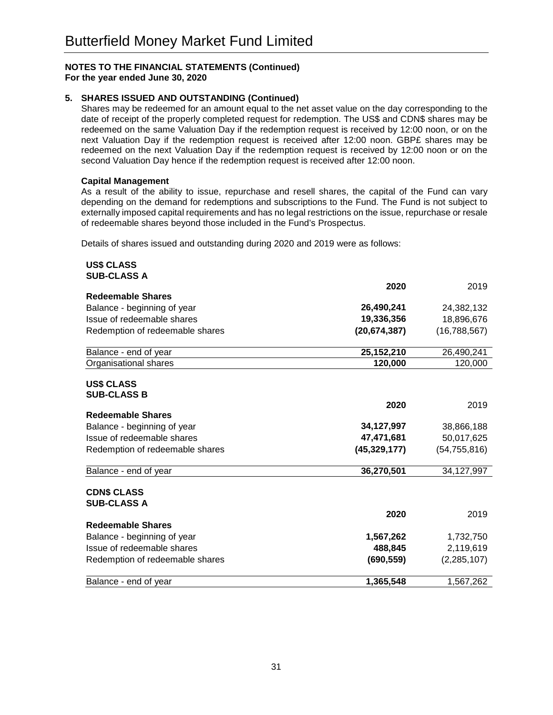# **5. SHARES ISSUED AND OUTSTANDING (Continued)**

Shares may be redeemed for an amount equal to the net asset value on the day corresponding to the date of receipt of the properly completed request for redemption. The US\$ and CDN\$ shares may be redeemed on the same Valuation Day if the redemption request is received by 12:00 noon, or on the next Valuation Day if the redemption request is received after 12:00 noon. GBP£ shares may be redeemed on the next Valuation Day if the redemption request is received by 12:00 noon or on the second Valuation Day hence if the redemption request is received after 12:00 noon.

#### **Capital Management**

As a result of the ability to issue, repurchase and resell shares, the capital of the Fund can vary depending on the demand for redemptions and subscriptions to the Fund. The Fund is not subject to externally imposed capital requirements and has no legal restrictions on the issue, repurchase or resale of redeemable shares beyond those included in the Fund's Prospectus.

Details of shares issued and outstanding during 2020 and 2019 were as follows:

| <b>US\$ CLASS</b>               |                |                |
|---------------------------------|----------------|----------------|
| <b>SUB-CLASS A</b>              |                |                |
|                                 | 2020           | 2019           |
| <b>Redeemable Shares</b>        |                |                |
| Balance - beginning of year     | 26,490,241     | 24,382,132     |
| Issue of redeemable shares      | 19,336,356     | 18,896,676     |
| Redemption of redeemable shares | (20, 674, 387) | (16,788,567)   |
| Balance - end of year           | 25,152,210     | 26,490,241     |
| Organisational shares           | 120,000        | 120,000        |
| <b>US\$ CLASS</b>               |                |                |
| <b>SUB-CLASS B</b>              |                |                |
|                                 | 2020           | 2019           |
| <b>Redeemable Shares</b>        |                |                |
| Balance - beginning of year     | 34,127,997     | 38,866,188     |
| Issue of redeemable shares      | 47,471,681     | 50,017,625     |
| Redemption of redeemable shares | (45, 329, 177) | (54, 755, 816) |
| Balance - end of year           | 36,270,501     | 34,127,997     |
| <b>CDNS CLASS</b>               |                |                |
| <b>SUB-CLASS A</b>              |                |                |
|                                 | 2020           | 2019           |
| <b>Redeemable Shares</b>        |                |                |
| Balance - beginning of year     | 1,567,262      | 1,732,750      |
| Issue of redeemable shares      | 488,845        | 2,119,619      |
| Redemption of redeemable shares | (690, 559)     | (2, 285, 107)  |
| Balance - end of year           | 1,365,548      | 1,567,262      |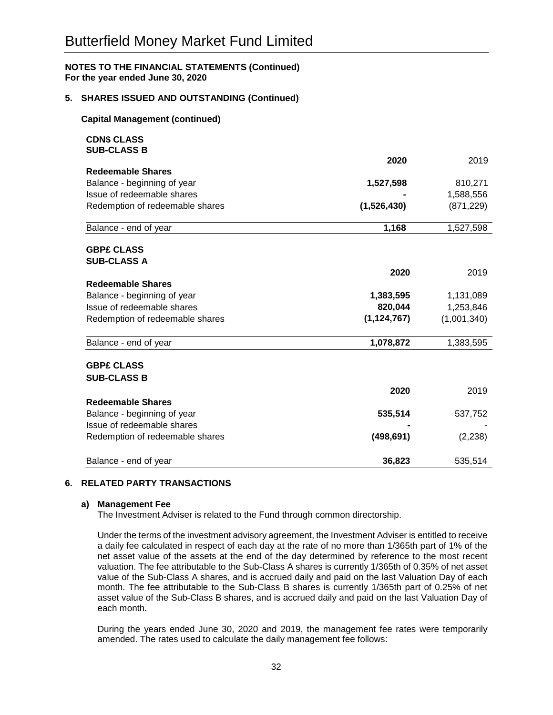# **5. SHARES ISSUED AND OUTSTANDING (Continued)**

#### **Capital Management (continued)**

CDN<sup>\$</sup> CLASS

| ULINJ ULAJJ<br><b>SUB-CLASS B</b> |               |             |
|-----------------------------------|---------------|-------------|
|                                   | 2020          | 2019        |
| <b>Redeemable Shares</b>          |               |             |
| Balance - beginning of year       | 1,527,598     | 810,271     |
| Issue of redeemable shares        |               | 1,588,556   |
| Redemption of redeemable shares   | (1,526,430)   | (871, 229)  |
| Balance - end of year             | 1,168         | 1,527,598   |
| <b>GBPE CLASS</b>                 |               |             |
| <b>SUB-CLASS A</b>                |               |             |
|                                   | 2020          | 2019        |
| <b>Redeemable Shares</b>          |               |             |
| Balance - beginning of year       | 1,383,595     | 1,131,089   |
| Issue of redeemable shares        | 820,044       | 1,253,846   |
| Redemption of redeemable shares   | (1, 124, 767) | (1,001,340) |
| Balance - end of year             | 1,078,872     | 1,383,595   |
| <b>GBP£ CLASS</b>                 |               |             |
| <b>SUB-CLASS B</b>                |               |             |
|                                   | 2020          | 2019        |
| <b>Redeemable Shares</b>          |               |             |
| Balance - beginning of year       | 535,514       | 537,752     |
| Issue of redeemable shares        |               |             |
| Redemption of redeemable shares   | (498, 691)    | (2, 238)    |
| Balance - end of year             | 36,823        | 535,514     |

# **6. RELATED PARTY TRANSACTIONS**

#### **a) Management Fee**

The Investment Adviser is related to the Fund through common directorship.

Under the terms of the investment advisory agreement, the Investment Adviser is entitled to receive a daily fee calculated in respect of each day at the rate of no more than 1/365th part of 1% of the net asset value of the assets at the end of the day determined by reference to the most recent valuation. The fee attributable to the Sub-Class A shares is currently 1/365th of 0.35% of net asset value of the Sub-Class A shares, and is accrued daily and paid on the last Valuation Day of each month. The fee attributable to the Sub-Class B shares is currently 1/365th part of 0.25% of net asset value of the Sub-Class B shares, and is accrued daily and paid on the last Valuation Day of each month.

During the years ended June 30, 2020 and 2019, the management fee rates were temporarily amended. The rates used to calculate the daily management fee follows: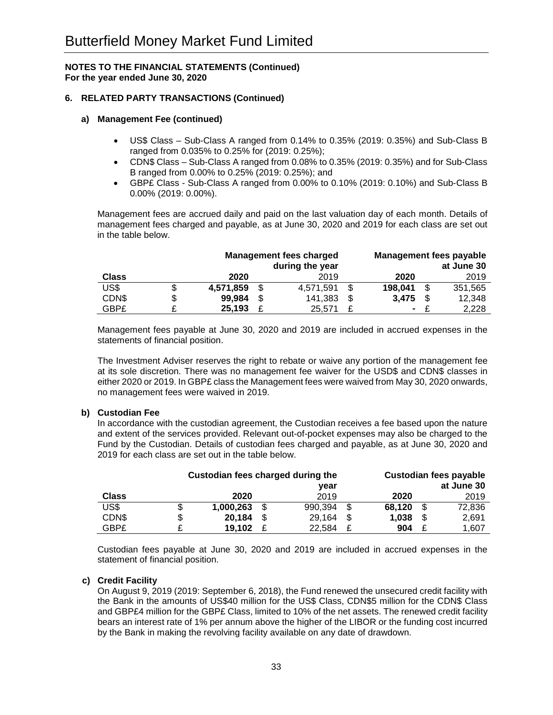# **6. RELATED PARTY TRANSACTIONS (Continued)**

# **a) Management Fee (continued)**

- US\$ Class Sub-Class A ranged from 0.14% to 0.35% (2019: 0.35%) and Sub-Class B ranged from 0.035% to 0.25% for (2019: 0.25%);
- CDN\$ Class Sub-Class A ranged from 0.08% to 0.35% (2019: 0.35%) and for Sub-Class B ranged from 0.00% to 0.25% (2019: 0.25%); and
- GBP£ Class Sub-Class A ranged from 0.00% to 0.10% (2019: 0.10%) and Sub-Class B 0.00% (2019: 0.00%).

Management fees are accrued daily and paid on the last valuation day of each month. Details of management fees charged and payable, as at June 30, 2020 and 2019 for each class are set out in the table below.

|              |    | <b>Management fees charged</b><br>during the year |    |           |    | <b>Management fees payable</b><br>at June 30 |         |
|--------------|----|---------------------------------------------------|----|-----------|----|----------------------------------------------|---------|
| <b>Class</b> |    | 2020                                              |    | 2019      |    | 2020                                         | 2019    |
| US\$         | \$ | 4,571,859                                         |    | 4.571.591 | \$ | 198,041                                      | 351,565 |
| CDN\$        | \$ | 99,984                                            | \$ | 141.383   | \$ | 3.475                                        | 12.348  |
| GBP£         | ᡗ  | 25.193                                            | £  | 25.571    | £  |                                              | 2,228   |

Management fees payable at June 30, 2020 and 2019 are included in accrued expenses in the statements of financial position.

The Investment Adviser reserves the right to rebate or waive any portion of the management fee at its sole discretion. There was no management fee waiver for the USD\$ and CDN\$ classes in either 2020 or 2019. In GBP£ class the Management fees were waived from May 30, 2020 onwards, no management fees were waived in 2019.

#### **b) Custodian Fee**

In accordance with the custodian agreement, the Custodian receives a fee based upon the nature and extent of the services provided. Relevant out-of-pocket expenses may also be charged to the Fund by the Custodian. Details of custodian fees charged and payable, as at June 30, 2020 and 2019 for each class are set out in the table below.

|              | Custodian fees charged during the<br>vear |    |         |    |        | <b>Custodian fees payable</b><br>at June 30 |        |
|--------------|-------------------------------------------|----|---------|----|--------|---------------------------------------------|--------|
| <b>Class</b> | 2020                                      |    | 2019    |    | 2020   |                                             | 2019   |
| US\$         | 1,000,263                                 | \$ | 990.394 | -S | 68.120 | \$                                          | 72,836 |
| CDN\$        | 20.184                                    | \$ | 29,164  | S  | 1.038  | \$                                          | 2.691  |
| GBP£         | 19.102                                    |    | 22.584  | £  | 904    | £                                           | 1,607  |

Custodian fees payable at June 30, 2020 and 2019 are included in accrued expenses in the statement of financial position.

# **c) Credit Facility**

On August 9, 2019 (2019: September 6, 2018), the Fund renewed the unsecured credit facility with the Bank in the amounts of US\$40 million for the US\$ Class, CDN\$5 million for the CDN\$ Class and GBP£4 million for the GBP£ Class, limited to 10% of the net assets. The renewed credit facility bears an interest rate of 1% per annum above the higher of the LIBOR or the funding cost incurred by the Bank in making the revolving facility available on any date of drawdown.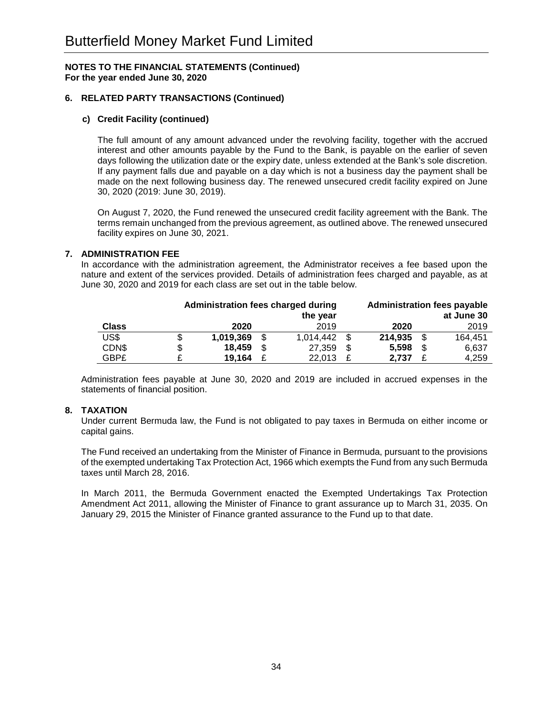# **6. RELATED PARTY TRANSACTIONS (Continued)**

# **c) Credit Facility (continued)**

The full amount of any amount advanced under the revolving facility, together with the accrued interest and other amounts payable by the Fund to the Bank, is payable on the earlier of seven days following the utilization date or the expiry date, unless extended at the Bank's sole discretion. If any payment falls due and payable on a day which is not a business day the payment shall be made on the next following business day. The renewed unsecured credit facility expired on June 30, 2020 (2019: June 30, 2019).

On August 7, 2020, the Fund renewed the unsecured credit facility agreement with the Bank. The terms remain unchanged from the previous agreement, as outlined above. The renewed unsecured facility expires on June 30, 2021.

# **7. ADMINISTRATION FEE**

In accordance with the administration agreement, the Administrator receives a fee based upon the nature and extent of the services provided. Details of administration fees charged and payable, as at June 30, 2020 and 2019 for each class are set out in the table below.

|              | Administration fees charged during<br>the year |           |     |           |     | <b>Administration fees payable</b><br>at June 30 |      |         |
|--------------|------------------------------------------------|-----------|-----|-----------|-----|--------------------------------------------------|------|---------|
| <b>Class</b> |                                                | 2020      |     | 2019      |     | 2020                                             |      | 2019    |
| US\$         |                                                | 1,019,369 | \$. | 1,014,442 | -\$ | 214,935                                          | - \$ | 164.451 |
| CDN\$        |                                                | 18,459    | \$  | 27.359    | \$. | 5,598                                            | -S   | 6.637   |
| <b>GBP£</b>  |                                                | 19.164    | £   | 22.013    | £   | 2.737                                            | £    | 4.259   |

Administration fees payable at June 30, 2020 and 2019 are included in accrued expenses in the statements of financial position.

#### **8. TAXATION**

Under current Bermuda law, the Fund is not obligated to pay taxes in Bermuda on either income or capital gains.

The Fund received an undertaking from the Minister of Finance in Bermuda, pursuant to the provisions of the exempted undertaking Tax Protection Act, 1966 which exempts the Fund from any such Bermuda taxes until March 28, 2016.

In March 2011, the Bermuda Government enacted the Exempted Undertakings Tax Protection Amendment Act 2011, allowing the Minister of Finance to grant assurance up to March 31, 2035. On January 29, 2015 the Minister of Finance granted assurance to the Fund up to that date.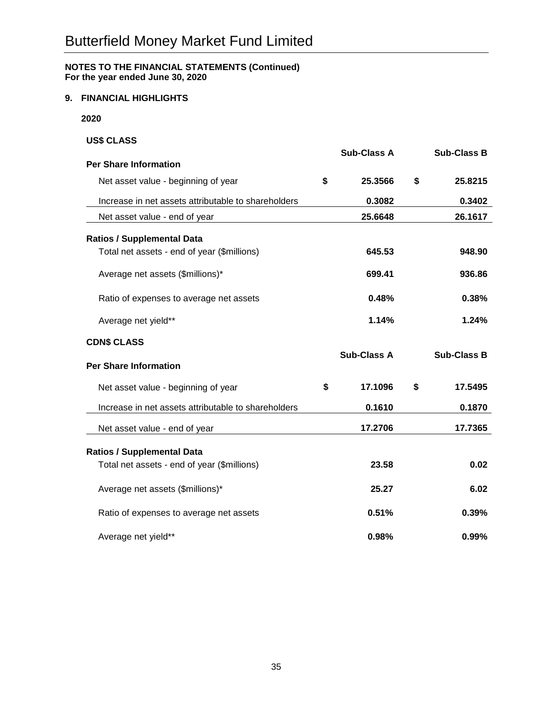# **9. FINANCIAL HIGHLIGHTS**

**2020**

| <b>US\$ CLASS</b>                                   | <b>Sub-Class A</b> | <b>Sub-Class B</b> |
|-----------------------------------------------------|--------------------|--------------------|
| <b>Per Share Information</b>                        |                    |                    |
| Net asset value - beginning of year                 | \$<br>25.3566      | \$<br>25.8215      |
| Increase in net assets attributable to shareholders | 0.3082             | 0.3402             |
| Net asset value - end of year                       | 25.6648            | 26.1617            |
| <b>Ratios / Supplemental Data</b>                   |                    |                    |
| Total net assets - end of year (\$millions)         | 645.53             | 948.90             |
| Average net assets (\$millions)*                    | 699.41             | 936.86             |
| Ratio of expenses to average net assets             | 0.48%              | 0.38%              |
| Average net yield**                                 | 1.14%              | 1.24%              |
| <b>CDN\$ CLASS</b>                                  |                    |                    |
| <b>Per Share Information</b>                        | <b>Sub-Class A</b> | <b>Sub-Class B</b> |
| Net asset value - beginning of year                 | \$<br>17.1096      | \$<br>17.5495      |
| Increase in net assets attributable to shareholders | 0.1610             | 0.1870             |
| Net asset value - end of year                       | 17.2706            | 17.7365            |
| <b>Ratios / Supplemental Data</b>                   |                    |                    |
| Total net assets - end of year (\$millions)         | 23.58              | 0.02               |
| Average net assets (\$millions)*                    | 25.27              | 6.02               |
| Ratio of expenses to average net assets             | 0.51%              | 0.39%              |
| Average net yield**                                 | 0.98%              | 0.99%              |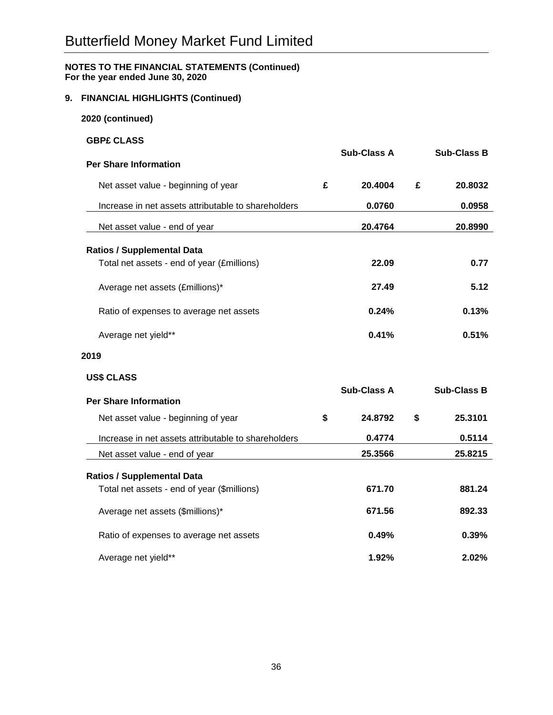# **9. FINANCIAL HIGHLIGHTS (Continued)**

**2020 (continued)**

# **GBP£ CLASS**

|                                                     |    | <b>Sub-Class A</b> |    | <b>Sub-Class B</b> |
|-----------------------------------------------------|----|--------------------|----|--------------------|
| <b>Per Share Information</b>                        |    |                    |    |                    |
| Net asset value - beginning of year                 | £  | 20.4004            | £  | 20.8032            |
| Increase in net assets attributable to shareholders |    | 0.0760             |    | 0.0958             |
| Net asset value - end of year                       |    | 20.4764            |    | 20.8990            |
|                                                     |    |                    |    |                    |
| <b>Ratios / Supplemental Data</b>                   |    |                    |    |                    |
| Total net assets - end of year (£millions)          |    | 22.09              |    | 0.77               |
| Average net assets (£millions)*                     |    | 27.49              |    | 5.12               |
| Ratio of expenses to average net assets             |    | 0.24%              |    | 0.13%              |
| Average net yield**                                 |    | 0.41%              |    | 0.51%              |
| 2019                                                |    |                    |    |                    |
| <b>US\$ CLASS</b>                                   |    |                    |    |                    |
|                                                     |    | <b>Sub-Class A</b> |    | <b>Sub-Class B</b> |
| <b>Per Share Information</b>                        |    |                    |    |                    |
| Net asset value - beginning of year                 | \$ | 24.8792            | \$ | 25.3101            |
| Increase in net assets attributable to shareholders |    | 0.4774             |    | 0.5114             |
| Net asset value - end of year                       |    | 25.3566            |    | 25.8215            |
| <b>Ratios / Supplemental Data</b>                   |    |                    |    |                    |
|                                                     |    |                    |    |                    |
| Total net assets - end of year (\$millions)         |    | 671.70             |    | 881.24             |
| Average net assets (\$millions)*                    |    | 671.56             |    | 892.33             |
| Ratio of expenses to average net assets             |    | 0.49%              |    | 0.39%              |
| Average net yield**                                 |    | 1.92%              |    | 2.02%              |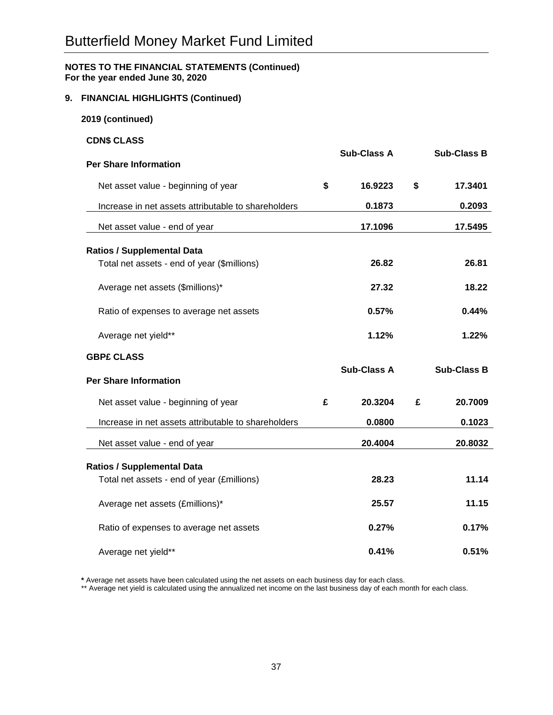# **9. FINANCIAL HIGHLIGHTS (Continued)**

**2019 (continued)**

#### **CDN\$ CLASS**

|                                                     |    | <b>Sub-Class A</b> |    | <b>Sub-Class B</b> |
|-----------------------------------------------------|----|--------------------|----|--------------------|
| <b>Per Share Information</b>                        |    |                    |    |                    |
| Net asset value - beginning of year                 | \$ | 16.9223            | \$ | 17.3401            |
| Increase in net assets attributable to shareholders |    | 0.1873             |    | 0.2093             |
| Net asset value - end of year                       |    | 17.1096            |    | 17.5495            |
| <b>Ratios / Supplemental Data</b>                   |    |                    |    |                    |
| Total net assets - end of year (\$millions)         |    | 26.82              |    | 26.81              |
| Average net assets (\$millions)*                    |    | 27.32              |    | 18.22              |
| Ratio of expenses to average net assets             |    | 0.57%              |    | 0.44%              |
| Average net yield**                                 |    | 1.12%              |    | 1.22%              |
| <b>GBP£ CLASS</b>                                   |    |                    |    |                    |
| <b>Per Share Information</b>                        |    | <b>Sub-Class A</b> |    | <b>Sub-Class B</b> |
| Net asset value - beginning of year                 | £  | 20.3204            | £  | 20.7009            |
| Increase in net assets attributable to shareholders |    | 0.0800             |    | 0.1023             |
| Net asset value - end of year                       |    | 20.4004            |    | 20.8032            |
| <b>Ratios / Supplemental Data</b>                   |    |                    |    |                    |
| Total net assets - end of year (£millions)          |    | 28.23              |    | 11.14              |
| Average net assets (£millions)*                     |    | 25.57              |    | 11.15              |
| Ratio of expenses to average net assets             |    | 0.27%              |    | 0.17%              |
| Average net yield**                                 |    | 0.41%              |    | 0.51%              |

**\*** Average net assets have been calculated using the net assets on each business day for each class.

\*\* Average net yield is calculated using the annualized net income on the last business day of each month for each class.